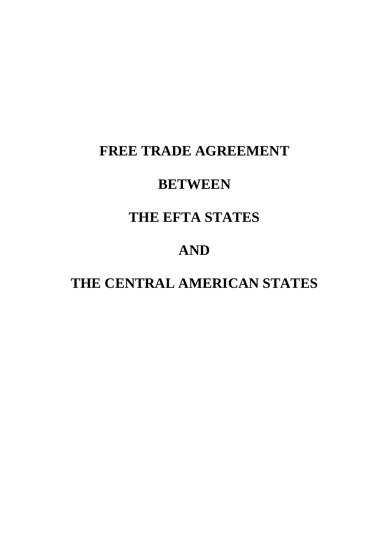# **FREE TRADE AGREEMENT**

# **BETWEEN**

# **THE EFTA STATES**

# **AND**

# **THE CENTRAL AMERICAN STATES**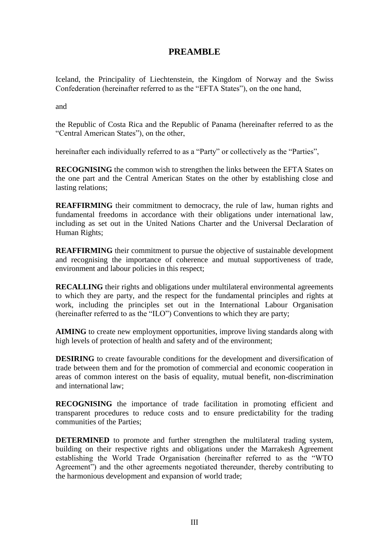# **PREAMBLE**

Iceland, the Principality of Liechtenstein, the Kingdom of Norway and the Swiss Confederation (hereinafter referred to as the "EFTA States"), on the one hand,

and

the Republic of Costa Rica and the Republic of Panama (hereinafter referred to as the "Central American States"), on the other,

hereinafter each individually referred to as a "Party" or collectively as the "Parties",

**RECOGNISING** the common wish to strengthen the links between the EFTA States on the one part and the Central American States on the other by establishing close and lasting relations;

**REAFFIRMING** their commitment to democracy, the rule of law, human rights and fundamental freedoms in accordance with their obligations under international law, including as set out in the United Nations Charter and the Universal Declaration of Human Rights;

**REAFFIRMING** their commitment to pursue the objective of sustainable development and recognising the importance of coherence and mutual supportiveness of trade, environment and labour policies in this respect;

**RECALLING** their rights and obligations under multilateral environmental agreements to which they are party, and the respect for the fundamental principles and rights at work, including the principles set out in the International Labour Organisation (hereinafter referred to as the "ILO") Conventions to which they are party;

**AIMING** to create new employment opportunities, improve living standards along with high levels of protection of health and safety and of the environment;

**DESIRING** to create favourable conditions for the development and diversification of trade between them and for the promotion of commercial and economic cooperation in areas of common interest on the basis of equality, mutual benefit, non-discrimination and international law;

**RECOGNISING** the importance of trade facilitation in promoting efficient and transparent procedures to reduce costs and to ensure predictability for the trading communities of the Parties;

**DETERMINED** to promote and further strengthen the multilateral trading system, building on their respective rights and obligations under the Marrakesh Agreement establishing the World Trade Organisation (hereinafter referred to as the "WTO Agreement") and the other agreements negotiated thereunder, thereby contributing to the harmonious development and expansion of world trade;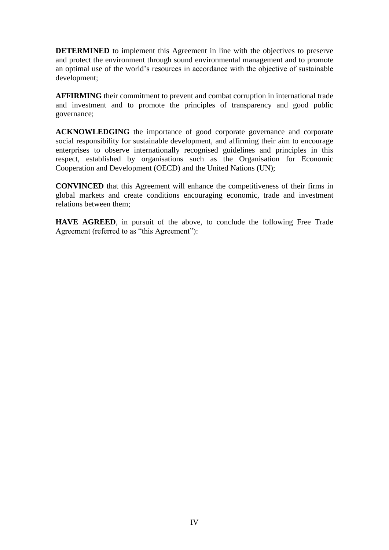**DETERMINED** to implement this Agreement in line with the objectives to preserve and protect the environment through sound environmental management and to promote an optimal use of the world's resources in accordance with the objective of sustainable development;

**AFFIRMING** their commitment to prevent and combat corruption in international trade and investment and to promote the principles of transparency and good public governance;

**ACKNOWLEDGING** the importance of good corporate governance and corporate social responsibility for sustainable development, and affirming their aim to encourage enterprises to observe internationally recognised guidelines and principles in this respect, established by organisations such as the Organisation for Economic Cooperation and Development (OECD) and the United Nations (UN);

**CONVINCED** that this Agreement will enhance the competitiveness of their firms in global markets and create conditions encouraging economic, trade and investment relations between them;

**HAVE AGREED**, in pursuit of the above, to conclude the following Free Trade Agreement (referred to as "this Agreement"):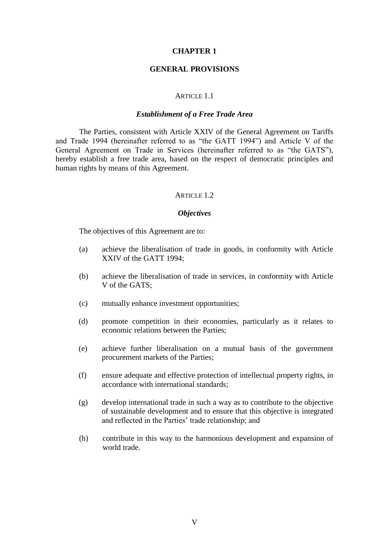#### **CHAPTER 1**

#### **GENERAL PROVISIONS**

#### ARTICLE 1.1

#### *Establishment of a Free Trade Area*

The Parties, consistent with Article XXIV of the General Agreement on Tariffs and Trade 1994 (hereinafter referred to as "the GATT 1994") and Article V of the General Agreement on Trade in Services (hereinafter referred to as "the GATS"), hereby establish a free trade area, based on the respect of democratic principles and human rights by means of this Agreement.

#### ARTICLE 1.2

#### *Objectives*

The objectives of this Agreement are to:

- (a) achieve the liberalisation of trade in goods, in conformity with Article XXIV of the GATT 1994;
- (b) achieve the liberalisation of trade in services, in conformity with Article V of the GATS;
- (c) mutually enhance investment opportunities;
- (d) promote competition in their economies, particularly as it relates to economic relations between the Parties;
- (e) achieve further liberalisation on a mutual basis of the government procurement markets of the Parties;
- (f) ensure adequate and effective protection of intellectual property rights, in accordance with international standards;
- (g) develop international trade in such a way as to contribute to the objective of sustainable development and to ensure that this objective is integrated and reflected in the Parties' trade relationship; and
- (h) contribute in this way to the harmonious development and expansion of world trade.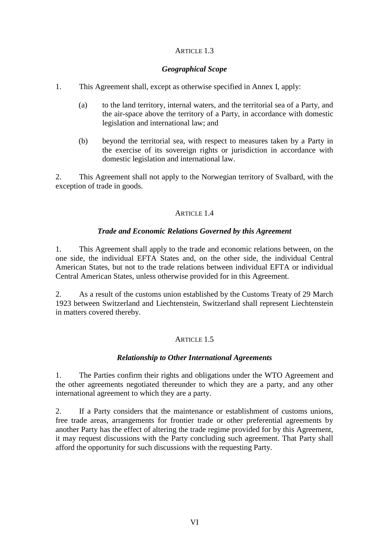# ARTICLE 1.3

## *Geographical Scope*

- 1. This Agreement shall, except as otherwise specified in Annex I, apply:
	- (a) to the land territory, internal waters, and the territorial sea of a Party, and the air-space above the territory of a Party, in accordance with domestic legislation and international law; and
	- (b) beyond the territorial sea, with respect to measures taken by a Party in the exercise of its sovereign rights or jurisdiction in accordance with domestic legislation and international law.

2. This Agreement shall not apply to the Norwegian territory of Svalbard, with the exception of trade in goods.

# ARTICLE 14

# *Trade and Economic Relations Governed by this Agreement*

1. This Agreement shall apply to the trade and economic relations between, on the one side, the individual EFTA States and, on the other side, the individual Central American States, but not to the trade relations between individual EFTA or individual Central American States, unless otherwise provided for in this Agreement.

2. As a result of the customs union established by the Customs Treaty of 29 March 1923 between Switzerland and Liechtenstein, Switzerland shall represent Liechtenstein in matters covered thereby.

# ARTICLE 1.5

## *Relationship to Other International Agreements*

1. The Parties confirm their rights and obligations under the WTO Agreement and the other agreements negotiated thereunder to which they are a party, and any other international agreement to which they are a party.

2. If a Party considers that the maintenance or establishment of customs unions, free trade areas, arrangements for frontier trade or other preferential agreements by another Party has the effect of altering the trade regime provided for by this Agreement, it may request discussions with the Party concluding such agreement. That Party shall afford the opportunity for such discussions with the requesting Party.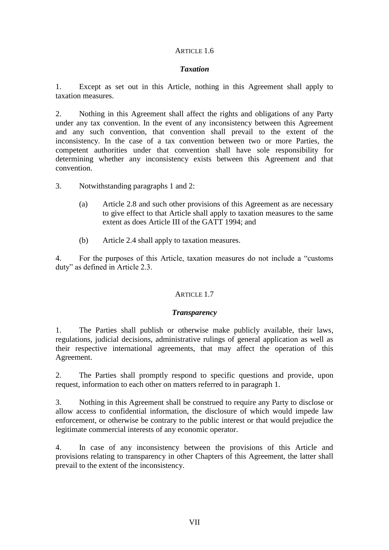# ARTICLE 1.6

## *Taxation*

1. Except as set out in this Article, nothing in this Agreement shall apply to taxation measures.

2. Nothing in this Agreement shall affect the rights and obligations of any Party under any tax convention. In the event of any inconsistency between this Agreement and any such convention, that convention shall prevail to the extent of the inconsistency. In the case of a tax convention between two or more Parties, the competent authorities under that convention shall have sole responsibility for determining whether any inconsistency exists between this Agreement and that convention.

3. Notwithstanding paragraphs 1 and 2:

- (a) Article 2.8 and such other provisions of this Agreement as are necessary to give effect to that Article shall apply to taxation measures to the same extent as does Article III of the GATT 1994; and
- (b) Article 2.4 shall apply to taxation measures.

4. For the purposes of this Article, taxation measures do not include a "customs duty" as defined in Article 2.3.

# ARTICLE 1.7

## *Transparency*

1. The Parties shall publish or otherwise make publicly available, their laws, regulations, judicial decisions, administrative rulings of general application as well as their respective international agreements, that may affect the operation of this Agreement.

2. The Parties shall promptly respond to specific questions and provide, upon request, information to each other on matters referred to in paragraph 1.

3. Nothing in this Agreement shall be construed to require any Party to disclose or allow access to confidential information, the disclosure of which would impede law enforcement, or otherwise be contrary to the public interest or that would prejudice the legitimate commercial interests of any economic operator.

4. In case of any inconsistency between the provisions of this Article and provisions relating to transparency in other Chapters of this Agreement, the latter shall prevail to the extent of the inconsistency.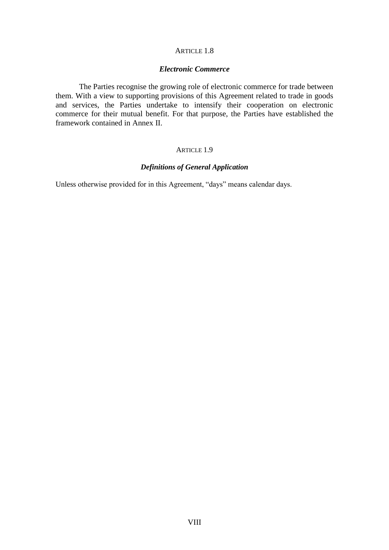# ARTICLE 1.8

## *Electronic Commerce*

The Parties recognise the growing role of electronic commerce for trade between them. With a view to supporting provisions of this Agreement related to trade in goods and services, the Parties undertake to intensify their cooperation on electronic commerce for their mutual benefit. For that purpose, the Parties have established the framework contained in Annex II.

## ARTICLE 1.9

#### *Definitions of General Application*

Unless otherwise provided for in this Agreement, "days" means calendar days.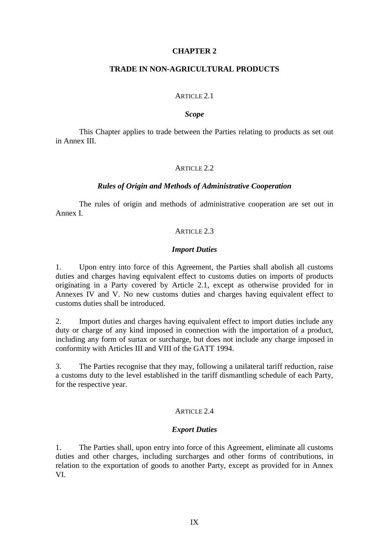#### **CHAPTER 2**

#### **TRADE IN NON-AGRICULTURAL PRODUCTS**

#### ARTICLE 2.1

#### *Scope*

This Chapter applies to trade between the Parties relating to products as set out in Annex III.

#### ARTICLE 2.2

#### *Rules of Origin and Methods of Administrative Cooperation*

The rules of origin and methods of administrative cooperation are set out in Annex I.

#### ARTICLE 2.3

#### *Import Duties*

1. Upon entry into force of this Agreement, the Parties shall abolish all customs duties and charges having equivalent effect to customs duties on imports of products originating in a Party covered by Article 2.1, except as otherwise provided for in Annexes IV and V. No new customs duties and charges having equivalent effect to customs duties shall be introduced.

2. Import duties and charges having equivalent effect to import duties include any duty or charge of any kind imposed in connection with the importation of a product, including any form of surtax or surcharge, but does not include any charge imposed in conformity with Articles III and VIII of the GATT 1994.

3. The Parties recognise that they may, following a unilateral tariff reduction, raise a customs duty to the level established in the tariff dismantling schedule of each Party, for the respective year.

## ARTICLE 2.4

#### *Export Duties*

1. The Parties shall, upon entry into force of this Agreement, eliminate all customs duties and other charges, including surcharges and other forms of contributions, in relation to the exportation of goods to another Party, except as provided for in Annex VI.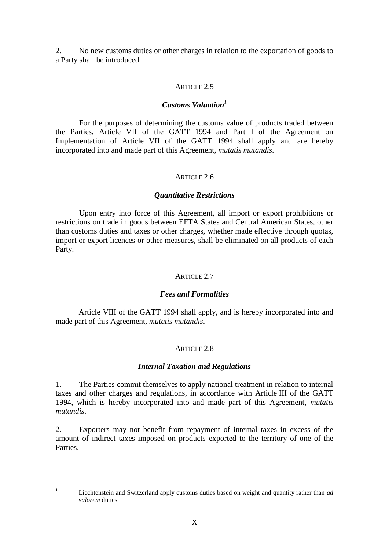2. No new customs duties or other charges in relation to the exportation of goods to a Party shall be introduced.

# ARTICLE 2.5

## *Customs Valuation<sup>1</sup>*

For the purposes of determining the customs value of products traded between the Parties, Article VII of the GATT 1994 and Part I of the Agreement on Implementation of Article VII of the GATT 1994 shall apply and are hereby incorporated into and made part of this Agreement, *mutatis mutandis*.

## ARTICLE 2.6

## *Quantitative Restrictions*

Upon entry into force of this Agreement, all import or export prohibitions or restrictions on trade in goods between EFTA States and Central American States, other than customs duties and taxes or other charges, whether made effective through quotas, import or export licences or other measures, shall be eliminated on all products of each Party.

# ARTICLE 2.7

## *Fees and Formalities*

Article VIII of the GATT 1994 shall apply, and is hereby incorporated into and made part of this Agreement, *mutatis mutandis*.

# ARTICLE 2.8

## *Internal Taxation and Regulations*

1. The Parties commit themselves to apply national treatment in relation to internal taxes and other charges and regulations, in accordance with Article III of the GATT 1994, which is hereby incorporated into and made part of this Agreement, *mutatis mutandis*.

2. Exporters may not benefit from repayment of internal taxes in excess of the amount of indirect taxes imposed on products exported to the territory of one of the Parties.

 $\mathbf{1}$ 

<sup>1</sup> Liechtenstein and Switzerland apply customs duties based on weight and quantity rather than *ad valorem* duties.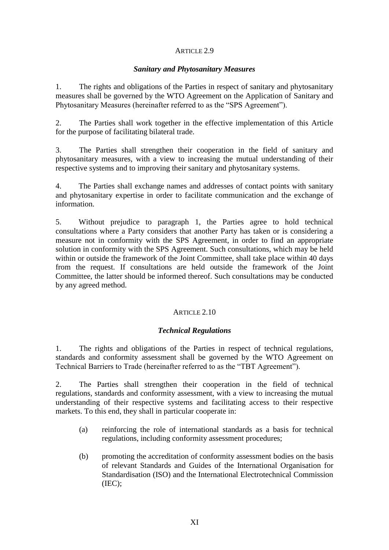# ARTICLE 2.9

## *Sanitary and Phytosanitary Measures*

1. The rights and obligations of the Parties in respect of sanitary and phytosanitary measures shall be governed by the WTO Agreement on the Application of Sanitary and Phytosanitary Measures (hereinafter referred to as the "SPS Agreement").

2. The Parties shall work together in the effective implementation of this Article for the purpose of facilitating bilateral trade.

3. The Parties shall strengthen their cooperation in the field of sanitary and phytosanitary measures, with a view to increasing the mutual understanding of their respective systems and to improving their sanitary and phytosanitary systems.

4. The Parties shall exchange names and addresses of contact points with sanitary and phytosanitary expertise in order to facilitate communication and the exchange of information.

5. Without prejudice to paragraph 1, the Parties agree to hold technical consultations where a Party considers that another Party has taken or is considering a measure not in conformity with the SPS Agreement, in order to find an appropriate solution in conformity with the SPS Agreement. Such consultations, which may be held within or outside the framework of the Joint Committee, shall take place within 40 days from the request. If consultations are held outside the framework of the Joint Committee, the latter should be informed thereof. Such consultations may be conducted by any agreed method.

# ARTICLE 2.10

# *Technical Regulations*

1. The rights and obligations of the Parties in respect of technical regulations, standards and conformity assessment shall be governed by the WTO Agreement on Technical Barriers to Trade (hereinafter referred to as the "TBT Agreement").

2. The Parties shall strengthen their cooperation in the field of technical regulations, standards and conformity assessment, with a view to increasing the mutual understanding of their respective systems and facilitating access to their respective markets. To this end, they shall in particular cooperate in:

- (a) reinforcing the role of international standards as a basis for technical regulations, including conformity assessment procedures;
- (b) promoting the accreditation of conformity assessment bodies on the basis of relevant Standards and Guides of the International Organisation for Standardisation (ISO) and the International Electrotechnical Commission (IEC);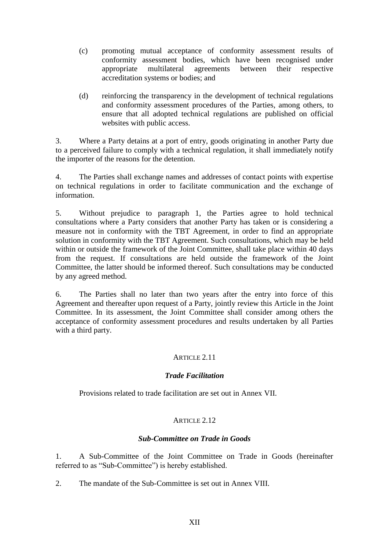- (c) promoting mutual acceptance of conformity assessment results of conformity assessment bodies, which have been recognised under appropriate multilateral agreements between their respective accreditation systems or bodies; and
- (d) reinforcing the transparency in the development of technical regulations and conformity assessment procedures of the Parties, among others, to ensure that all adopted technical regulations are published on official websites with public access.

3. Where a Party detains at a port of entry, goods originating in another Party due to a perceived failure to comply with a technical regulation, it shall immediately notify the importer of the reasons for the detention.

4. The Parties shall exchange names and addresses of contact points with expertise on technical regulations in order to facilitate communication and the exchange of information.

5. Without prejudice to paragraph 1, the Parties agree to hold technical consultations where a Party considers that another Party has taken or is considering a measure not in conformity with the TBT Agreement, in order to find an appropriate solution in conformity with the TBT Agreement. Such consultations, which may be held within or outside the framework of the Joint Committee, shall take place within 40 days from the request. If consultations are held outside the framework of the Joint Committee, the latter should be informed thereof. Such consultations may be conducted by any agreed method.

6. The Parties shall no later than two years after the entry into force of this Agreement and thereafter upon request of a Party, jointly review this Article in the Joint Committee. In its assessment, the Joint Committee shall consider among others the acceptance of conformity assessment procedures and results undertaken by all Parties with a third party.

# ARTICLE 2.11

# *Trade Facilitation*

Provisions related to trade facilitation are set out in Annex VII.

# ARTICLE 2.12

# *Sub-Committee on Trade in Goods*

1. A Sub-Committee of the Joint Committee on Trade in Goods (hereinafter referred to as "Sub-Committee") is hereby established.

2. The mandate of the Sub-Committee is set out in Annex VIII.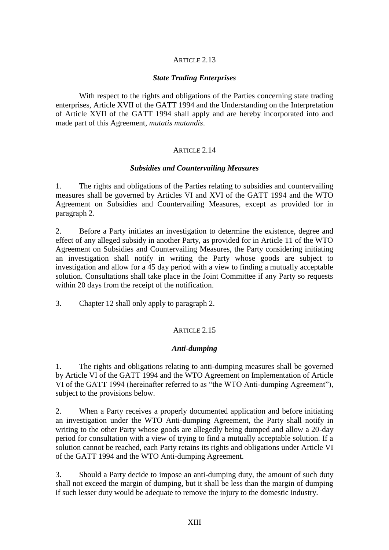# ARTICLE 2.13

## *State Trading Enterprises*

With respect to the rights and obligations of the Parties concerning state trading enterprises, Article XVII of the GATT 1994 and the Understanding on the Interpretation of Article XVII of the GATT 1994 shall apply and are hereby incorporated into and made part of this Agreement, *mutatis mutandis*.

#### ARTICLE 2.14

#### *Subsidies and Countervailing Measures*

1. The rights and obligations of the Parties relating to subsidies and countervailing measures shall be governed by Articles VI and XVI of the GATT 1994 and the WTO Agreement on Subsidies and Countervailing Measures, except as provided for in paragraph 2.

2. Before a Party initiates an investigation to determine the existence, degree and effect of any alleged subsidy in another Party, as provided for in Article 11 of the WTO Agreement on Subsidies and Countervailing Measures, the Party considering initiating an investigation shall notify in writing the Party whose goods are subject to investigation and allow for a 45 day period with a view to finding a mutually acceptable solution. Consultations shall take place in the Joint Committee if any Party so requests within 20 days from the receipt of the notification.

3. Chapter 12 shall only apply to paragraph 2.

## ARTICLE 2.15

#### *Anti-dumping*

1. The rights and obligations relating to anti-dumping measures shall be governed by Article VI of the GATT 1994 and the WTO Agreement on Implementation of Article VI of the GATT 1994 (hereinafter referred to as "the WTO Anti-dumping Agreement"), subject to the provisions below.

2. When a Party receives a properly documented application and before initiating an investigation under the WTO Anti-dumping Agreement, the Party shall notify in writing to the other Party whose goods are allegedly being dumped and allow a 20-day period for consultation with a view of trying to find a mutually acceptable solution. If a solution cannot be reached, each Party retains its rights and obligations under Article VI of the GATT 1994 and the WTO Anti-dumping Agreement.

3. Should a Party decide to impose an anti-dumping duty, the amount of such duty shall not exceed the margin of dumping, but it shall be less than the margin of dumping if such lesser duty would be adequate to remove the injury to the domestic industry.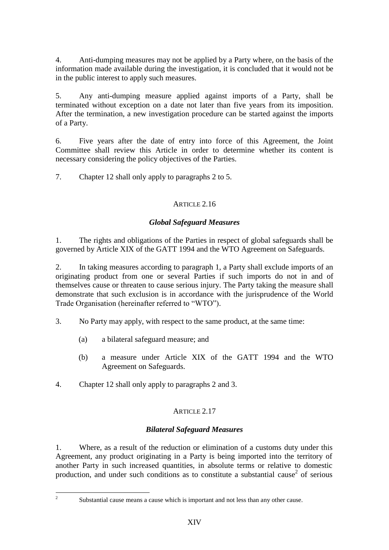4. Anti-dumping measures may not be applied by a Party where, on the basis of the information made available during the investigation, it is concluded that it would not be in the public interest to apply such measures.

5. Any anti-dumping measure applied against imports of a Party, shall be terminated without exception on a date not later than five years from its imposition. After the termination, a new investigation procedure can be started against the imports of a Party.

6. Five years after the date of entry into force of this Agreement, the Joint Committee shall review this Article in order to determine whether its content is necessary considering the policy objectives of the Parties.

7. Chapter 12 shall only apply to paragraphs 2 to 5.

# ARTICLE 2.16

# *Global Safeguard Measures*

1. The rights and obligations of the Parties in respect of global safeguards shall be governed by Article XIX of the GATT 1994 and the WTO Agreement on Safeguards.

2. In taking measures according to paragraph 1, a Party shall exclude imports of an originating product from one or several Parties if such imports do not in and of themselves cause or threaten to cause serious injury. The Party taking the measure shall demonstrate that such exclusion is in accordance with the jurisprudence of the World Trade Organisation (hereinafter referred to "WTO").

- 3. No Party may apply, with respect to the same product, at the same time:
	- (a) a bilateral safeguard measure; and
	- (b) a measure under Article XIX of the GATT 1994 and the WTO Agreement on Safeguards.

4. Chapter 12 shall only apply to paragraphs 2 and 3.

# ARTICLE 2.17

# *Bilateral Safeguard Measures*

1. Where, as a result of the reduction or elimination of a customs duty under this Agreement, any product originating in a Party is being imported into the territory of another Party in such increased quantities, in absolute terms or relative to domestic production, and under such conditions as to constitute a substantial cause<sup>2</sup> of serious

 $\frac{1}{2}$ 

Substantial cause means a cause which is important and not less than any other cause.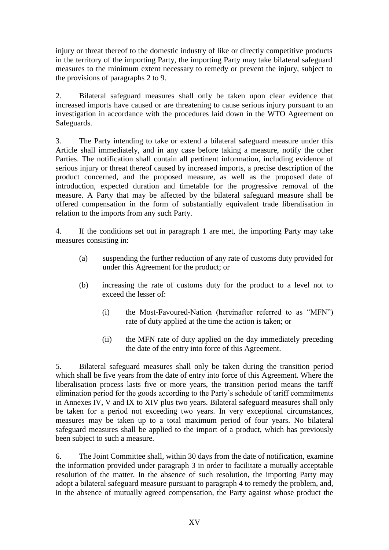injury or threat thereof to the domestic industry of like or directly competitive products in the territory of the importing Party, the importing Party may take bilateral safeguard measures to the minimum extent necessary to remedy or prevent the injury, subject to the provisions of paragraphs 2 to 9.

2. Bilateral safeguard measures shall only be taken upon clear evidence that increased imports have caused or are threatening to cause serious injury pursuant to an investigation in accordance with the procedures laid down in the WTO Agreement on Safeguards.

3. The Party intending to take or extend a bilateral safeguard measure under this Article shall immediately, and in any case before taking a measure, notify the other Parties. The notification shall contain all pertinent information, including evidence of serious injury or threat thereof caused by increased imports, a precise description of the product concerned, and the proposed measure, as well as the proposed date of introduction, expected duration and timetable for the progressive removal of the measure. A Party that may be affected by the bilateral safeguard measure shall be offered compensation in the form of substantially equivalent trade liberalisation in relation to the imports from any such Party.

4. If the conditions set out in paragraph 1 are met, the importing Party may take measures consisting in:

- (a) suspending the further reduction of any rate of customs duty provided for under this Agreement for the product; or
- (b) increasing the rate of customs duty for the product to a level not to exceed the lesser of:
	- (i) the Most-Favoured-Nation (hereinafter referred to as "MFN") rate of duty applied at the time the action is taken; or
	- (ii) the MFN rate of duty applied on the day immediately preceding the date of the entry into force of this Agreement.

5. Bilateral safeguard measures shall only be taken during the transition period which shall be five years from the date of entry into force of this Agreement. Where the liberalisation process lasts five or more years, the transition period means the tariff elimination period for the goods according to the Party's schedule of tariff commitments in Annexes IV, V and IX to XIV plus two years. Bilateral safeguard measures shall only be taken for a period not exceeding two years. In very exceptional circumstances, measures may be taken up to a total maximum period of four years. No bilateral safeguard measures shall be applied to the import of a product, which has previously been subject to such a measure.

6. The Joint Committee shall, within 30 days from the date of notification, examine the information provided under paragraph 3 in order to facilitate a mutually acceptable resolution of the matter. In the absence of such resolution, the importing Party may adopt a bilateral safeguard measure pursuant to paragraph 4 to remedy the problem, and, in the absence of mutually agreed compensation, the Party against whose product the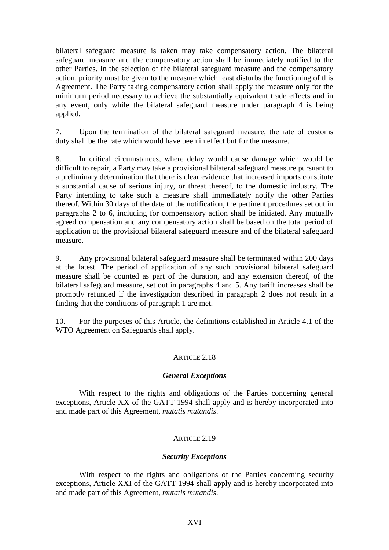bilateral safeguard measure is taken may take compensatory action. The bilateral safeguard measure and the compensatory action shall be immediately notified to the other Parties. In the selection of the bilateral safeguard measure and the compensatory action, priority must be given to the measure which least disturbs the functioning of this Agreement. The Party taking compensatory action shall apply the measure only for the minimum period necessary to achieve the substantially equivalent trade effects and in any event, only while the bilateral safeguard measure under paragraph 4 is being applied.

7. Upon the termination of the bilateral safeguard measure, the rate of customs duty shall be the rate which would have been in effect but for the measure.

8. In critical circumstances, where delay would cause damage which would be difficult to repair, a Party may take a provisional bilateral safeguard measure pursuant to a preliminary determination that there is clear evidence that increased imports constitute a substantial cause of serious injury, or threat thereof, to the domestic industry. The Party intending to take such a measure shall immediately notify the other Parties thereof. Within 30 days of the date of the notification, the pertinent procedures set out in paragraphs 2 to 6, including for compensatory action shall be initiated. Any mutually agreed compensation and any compensatory action shall be based on the total period of application of the provisional bilateral safeguard measure and of the bilateral safeguard measure.

9. Any provisional bilateral safeguard measure shall be terminated within 200 days at the latest. The period of application of any such provisional bilateral safeguard measure shall be counted as part of the duration, and any extension thereof, of the bilateral safeguard measure, set out in paragraphs 4 and 5. Any tariff increases shall be promptly refunded if the investigation described in paragraph 2 does not result in a finding that the conditions of paragraph 1 are met.

10. For the purposes of this Article, the definitions established in Article 4.1 of the WTO Agreement on Safeguards shall apply.

# ARTICLE 2.18

# *General Exceptions*

With respect to the rights and obligations of the Parties concerning general exceptions, Article XX of the GATT 1994 shall apply and is hereby incorporated into and made part of this Agreement, *mutatis mutandis*.

# ARTICLE 2.19

## *Security Exceptions*

With respect to the rights and obligations of the Parties concerning security exceptions, Article XXI of the GATT 1994 shall apply and is hereby incorporated into and made part of this Agreement, *mutatis mutandis*.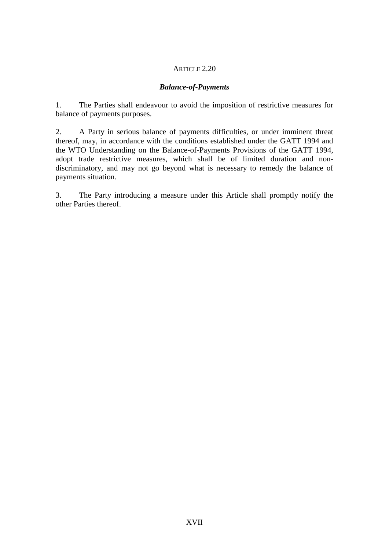## ARTICLE 2.20

# *Balance-of-Payments*

1. The Parties shall endeavour to avoid the imposition of restrictive measures for balance of payments purposes.

2. A Party in serious balance of payments difficulties, or under imminent threat thereof, may, in accordance with the conditions established under the GATT 1994 and the WTO Understanding on the Balance-of-Payments Provisions of the GATT 1994, adopt trade restrictive measures, which shall be of limited duration and nondiscriminatory, and may not go beyond what is necessary to remedy the balance of payments situation.

3. The Party introducing a measure under this Article shall promptly notify the other Parties thereof.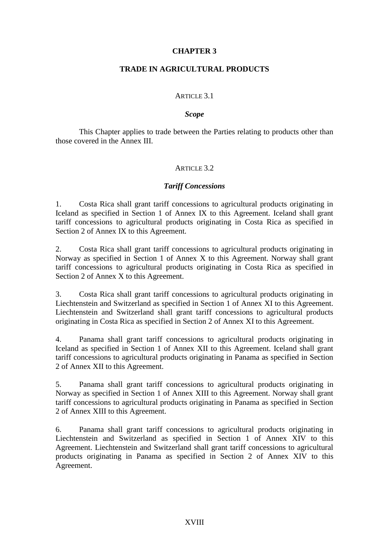## **CHAPTER 3**

# **TRADE IN AGRICULTURAL PRODUCTS**

#### ARTICLE 3.1

#### *Scope*

This Chapter applies to trade between the Parties relating to products other than those covered in the Annex III.

# ARTICLE 3.2.

## *Tariff Concessions*

1. Costa Rica shall grant tariff concessions to agricultural products originating in Iceland as specified in Section 1 of Annex IX to this Agreement. Iceland shall grant tariff concessions to agricultural products originating in Costa Rica as specified in Section 2 of Annex IX to this Agreement.

2. Costa Rica shall grant tariff concessions to agricultural products originating in Norway as specified in Section 1 of Annex X to this Agreement. Norway shall grant tariff concessions to agricultural products originating in Costa Rica as specified in Section 2 of Annex X to this Agreement.

3. Costa Rica shall grant tariff concessions to agricultural products originating in Liechtenstein and Switzerland as specified in Section 1 of Annex XI to this Agreement. Liechtenstein and Switzerland shall grant tariff concessions to agricultural products originating in Costa Rica as specified in Section 2 of Annex XI to this Agreement.

4. Panama shall grant tariff concessions to agricultural products originating in Iceland as specified in Section 1 of Annex XII to this Agreement. Iceland shall grant tariff concessions to agricultural products originating in Panama as specified in Section 2 of Annex XII to this Agreement.

5. Panama shall grant tariff concessions to agricultural products originating in Norway as specified in Section 1 of Annex XIII to this Agreement. Norway shall grant tariff concessions to agricultural products originating in Panama as specified in Section 2 of Annex XIII to this Agreement.

6. Panama shall grant tariff concessions to agricultural products originating in Liechtenstein and Switzerland as specified in Section 1 of Annex XIV to this Agreement. Liechtenstein and Switzerland shall grant tariff concessions to agricultural products originating in Panama as specified in Section 2 of Annex XIV to this Agreement.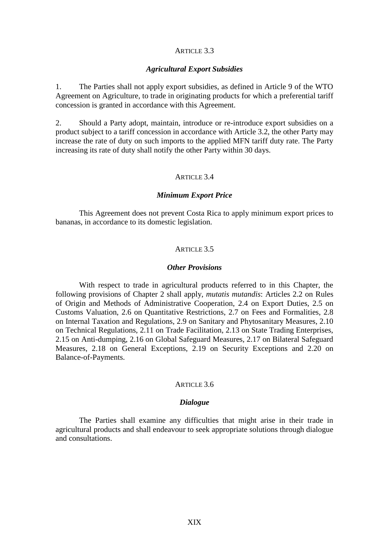#### ARTICLE 3.3

#### *Agricultural Export Subsidies*

1. The Parties shall not apply export subsidies, as defined in Article 9 of the WTO Agreement on Agriculture, to trade in originating products for which a preferential tariff concession is granted in accordance with this Agreement.

2. Should a Party adopt, maintain, introduce or re-introduce export subsidies on a product subject to a tariff concession in accordance with Article 3.2, the other Party may increase the rate of duty on such imports to the applied MFN tariff duty rate. The Party increasing its rate of duty shall notify the other Party within 30 days.

#### ARTICLE 3.4

#### *Minimum Export Price*

This Agreement does not prevent Costa Rica to apply minimum export prices to bananas, in accordance to its domestic legislation.

#### ARTICLE 3.5

#### *Other Provisions*

With respect to trade in agricultural products referred to in this Chapter, the following provisions of Chapter 2 shall apply, *mutatis mutandis*: Articles 2.2 on Rules of Origin and Methods of Administrative Cooperation, 2.4 on Export Duties, 2.5 on Customs Valuation, 2.6 on Quantitative Restrictions, 2.7 on Fees and Formalities, 2.8 on Internal Taxation and Regulations, 2.9 on Sanitary and Phytosanitary Measures, 2.10 on Technical Regulations, 2.11 on Trade Facilitation, 2.13 on State Trading Enterprises, 2.15 on Anti-dumping, 2.16 on Global Safeguard Measures, 2.17 on Bilateral Safeguard Measures, 2.18 on General Exceptions, 2.19 on Security Exceptions and 2.20 on Balance-of-Payments.

#### ARTICLE 3.6

#### *Dialogue*

The Parties shall examine any difficulties that might arise in their trade in agricultural products and shall endeavour to seek appropriate solutions through dialogue and consultations.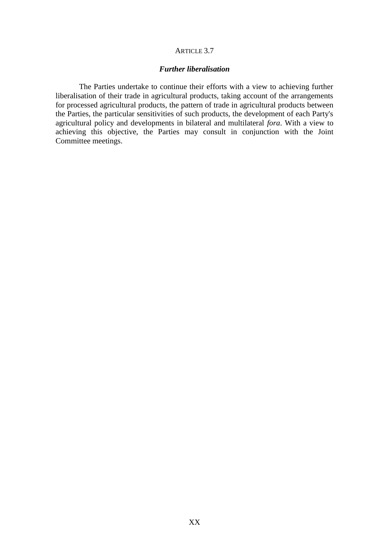#### ARTICLE 3.7

# *Further liberalisation*

The Parties undertake to continue their efforts with a view to achieving further liberalisation of their trade in agricultural products, taking account of the arrangements for processed agricultural products, the pattern of trade in agricultural products between the Parties, the particular sensitivities of such products, the development of each Party's agricultural policy and developments in bilateral and multilateral *fora*. With a view to achieving this objective, the Parties may consult in conjunction with the Joint Committee meetings.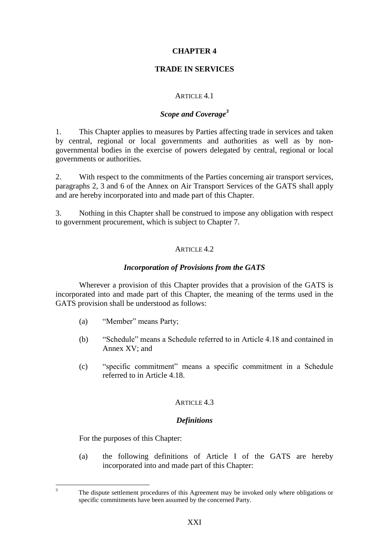# **CHAPTER 4**

# **TRADE IN SERVICES**

# ARTICLE 4.1

# *Scope and Coverage<sup>3</sup>*

1. This Chapter applies to measures by Parties affecting trade in services and taken by central, regional or local governments and authorities as well as by nongovernmental bodies in the exercise of powers delegated by central, regional or local governments or authorities.

2. With respect to the commitments of the Parties concerning air transport services, paragraphs 2, 3 and 6 of the Annex on Air Transport Services of the GATS shall apply and are hereby incorporated into and made part of this Chapter.

3. Nothing in this Chapter shall be construed to impose any obligation with respect to government procurement, which is subject to Chapter 7.

# ARTICLE 4.2

# *Incorporation of Provisions from the GATS*

Wherever a provision of this Chapter provides that a provision of the GATS is incorporated into and made part of this Chapter, the meaning of the terms used in the GATS provision shall be understood as follows:

- (a) "Member" means Party;
- (b) "Schedule" means a Schedule referred to in Article 4.18 and contained in Annex XV; and
- (c) "specific commitment" means a specific commitment in a Schedule referred to in Article 4.18.

# ARTICLE 4.3

## *Definitions*

For the purposes of this Chapter:

 $\overline{3}$ 

(a) the following definitions of Article I of the GATS are hereby incorporated into and made part of this Chapter:

<sup>3</sup> The dispute settlement procedures of this Agreement may be invoked only where obligations or specific commitments have been assumed by the concerned Party.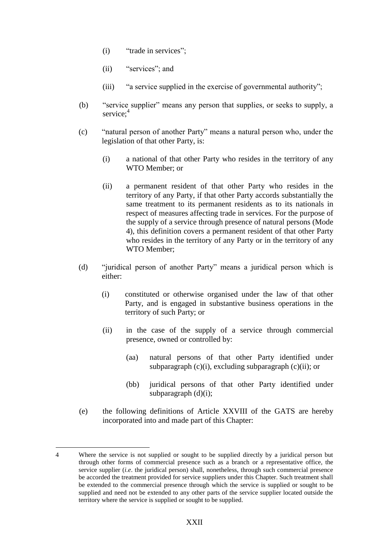- (i) "trade in services";
- (ii) "services"; and
- (iii) "a service supplied in the exercise of governmental authority";
- (b) "service supplier" means any person that supplies, or seeks to supply, a service:<sup>4</sup>
- (c) "natural person of another Party" means a natural person who, under the legislation of that other Party, is:
	- (i) a national of that other Party who resides in the territory of any WTO Member; or
	- (ii) a permanent resident of that other Party who resides in the territory of any Party, if that other Party accords substantially the same treatment to its permanent residents as to its nationals in respect of measures affecting trade in services. For the purpose of the supply of a service through presence of natural persons (Mode 4), this definition covers a permanent resident of that other Party who resides in the territory of any Party or in the territory of any WTO Member;
- (d) "juridical person of another Party" means a juridical person which is either:
	- (i) constituted or otherwise organised under the law of that other Party, and is engaged in substantive business operations in the territory of such Party; or
	- (ii) in the case of the supply of a service through commercial presence, owned or controlled by:
		- (aa) natural persons of that other Party identified under subparagraph (c)(i), excluding subparagraph (c)(ii); or
		- (bb) juridical persons of that other Party identified under subparagraph (d)(i);
- (e) the following definitions of Article XXVIII of the GATS are hereby incorporated into and made part of this Chapter:

1

<sup>4</sup> Where the service is not supplied or sought to be supplied directly by a juridical person but through other forms of commercial presence such as a branch or a representative office, the service supplier (*i.e*. the juridical person) shall, nonetheless, through such commercial presence be accorded the treatment provided for service suppliers under this Chapter. Such treatment shall be extended to the commercial presence through which the service is supplied or sought to be supplied and need not be extended to any other parts of the service supplier located outside the territory where the service is supplied or sought to be supplied.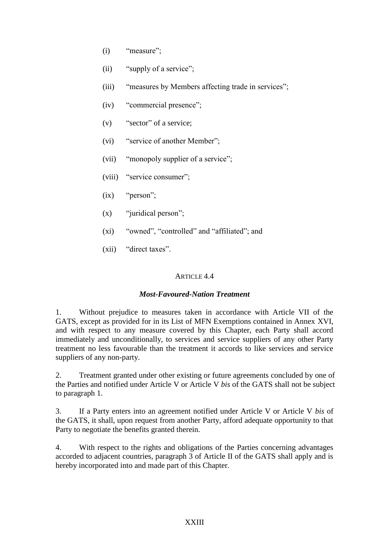- (i) "measure";
- (ii) "supply of a service";
- (iii) "measures by Members affecting trade in services";
- (iv) "commercial presence";
- (v) "sector" of a service;
- (vi) "service of another Member";
- (vii) "monopoly supplier of a service";
- (viii) "service consumer";
- $(ix)$  "person";
- $(x)$  "juridical person":
- (xi) "owned", "controlled" and "affiliated"; and
- (xii) "direct taxes".

# ARTICLE 4.4

## *Most-Favoured-Nation Treatment*

1. Without prejudice to measures taken in accordance with Article VII of the GATS, except as provided for in its List of MFN Exemptions contained in Annex XVI, and with respect to any measure covered by this Chapter, each Party shall accord immediately and unconditionally, to services and service suppliers of any other Party treatment no less favourable than the treatment it accords to like services and service suppliers of any non-party.

2. Treatment granted under other existing or future agreements concluded by one of the Parties and notified under Article V or Article V *bis* of the GATS shall not be subject to paragraph 1.

3. If a Party enters into an agreement notified under Article V or Article V *bis* of the GATS, it shall, upon request from another Party, afford adequate opportunity to that Party to negotiate the benefits granted therein.

4. With respect to the rights and obligations of the Parties concerning advantages accorded to adjacent countries, paragraph 3 of Article II of the GATS shall apply and is hereby incorporated into and made part of this Chapter.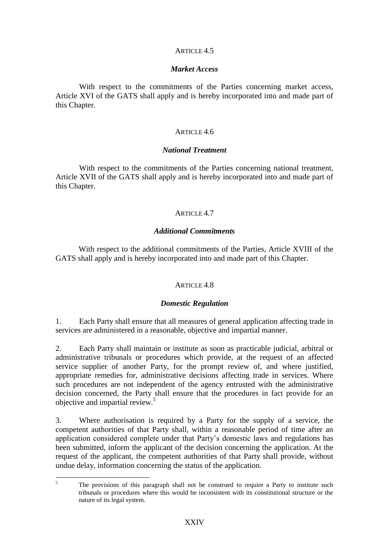## ARTICLE 4.5

#### *Market Access*

With respect to the commitments of the Parties concerning market access, Article XVI of the GATS shall apply and is hereby incorporated into and made part of this Chapter.

#### ARTICLE 4.6

## *National Treatment*

With respect to the commitments of the Parties concerning national treatment, Article XVII of the GATS shall apply and is hereby incorporated into and made part of this Chapter.

# ARTICLE  $4.7$

## *Additional Commitments*

With respect to the additional commitments of the Parties, Article XVIII of the GATS shall apply and is hereby incorporated into and made part of this Chapter.

## ARTICLE 4.8

## *Domestic Regulation*

1. Each Party shall ensure that all measures of general application affecting trade in services are administered in a reasonable, objective and impartial manner.

2. Each Party shall maintain or institute as soon as practicable judicial, arbitral or administrative tribunals or procedures which provide, at the request of an affected service supplier of another Party, for the prompt review of, and where justified, appropriate remedies for, administrative decisions affecting trade in services. Where such procedures are not independent of the agency entrusted with the administrative decision concerned, the Party shall ensure that the procedures in fact provide for an objective and impartial review.<sup>5</sup>

3. Where authorisation is required by a Party for the supply of a service, the competent authorities of that Party shall, within a reasonable period of time after an application considered complete under that Party's domestic laws and regulations has been submitted, inform the applicant of the decision concerning the application. At the request of the applicant, the competent authorities of that Party shall provide, without undue delay, information concerning the status of the application.

 $\overline{\mathbf{5}}$ The provisions of this paragraph shall not be construed to require a Party to institute such tribunals or procedures where this would be inconsistent with its constitutional structure or the nature of its legal system.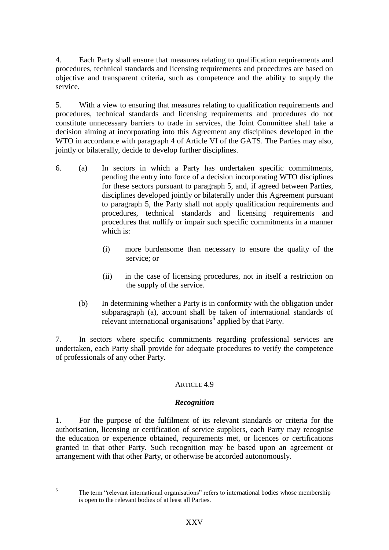4. Each Party shall ensure that measures relating to qualification requirements and procedures, technical standards and licensing requirements and procedures are based on objective and transparent criteria, such as competence and the ability to supply the service.

5. With a view to ensuring that measures relating to qualification requirements and procedures, technical standards and licensing requirements and procedures do not constitute unnecessary barriers to trade in services, the Joint Committee shall take a decision aiming at incorporating into this Agreement any disciplines developed in the WTO in accordance with paragraph 4 of Article VI of the GATS. The Parties may also, jointly or bilaterally, decide to develop further disciplines.

- 6. (a) In sectors in which a Party has undertaken specific commitments, pending the entry into force of a decision incorporating WTO disciplines for these sectors pursuant to paragraph 5, and, if agreed between Parties, disciplines developed jointly or bilaterally under this Agreement pursuant to paragraph 5, the Party shall not apply qualification requirements and procedures, technical standards and licensing requirements and procedures that nullify or impair such specific commitments in a manner which is:
	- (i) more burdensome than necessary to ensure the quality of the service; or
	- (ii) in the case of licensing procedures, not in itself a restriction on the supply of the service.
	- (b) In determining whether a Party is in conformity with the obligation under subparagraph (a), account shall be taken of international standards of relevant international organisations<sup>6</sup> applied by that Party.

7. In sectors where specific commitments regarding professional services are undertaken, each Party shall provide for adequate procedures to verify the competence of professionals of any other Party.

# ARTICLE 4.9

# *Recognition*

1. For the purpose of the fulfilment of its relevant standards or criteria for the authorisation, licensing or certification of service suppliers, each Party may recognise the education or experience obtained, requirements met, or licences or certifications granted in that other Party. Such recognition may be based upon an agreement or arrangement with that other Party, or otherwise be accorded autonomously.

 $6\overline{6}$ 

<sup>6</sup> The term "relevant international organisations" refers to international bodies whose membership is open to the relevant bodies of at least all Parties.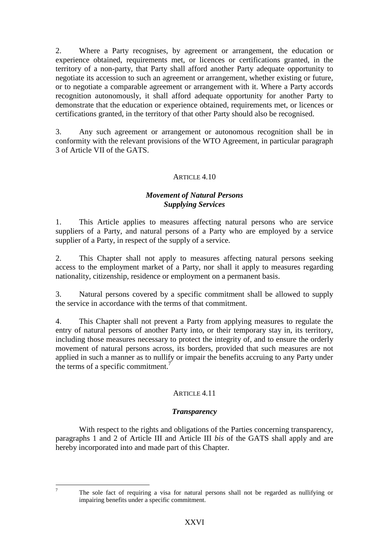2. Where a Party recognises, by agreement or arrangement, the education or experience obtained, requirements met, or licences or certifications granted, in the territory of a non-party, that Party shall afford another Party adequate opportunity to negotiate its accession to such an agreement or arrangement, whether existing or future, or to negotiate a comparable agreement or arrangement with it. Where a Party accords recognition autonomously, it shall afford adequate opportunity for another Party to demonstrate that the education or experience obtained, requirements met, or licences or certifications granted, in the territory of that other Party should also be recognised.

3. Any such agreement or arrangement or autonomous recognition shall be in conformity with the relevant provisions of the WTO Agreement, in particular paragraph 3 of Article VII of the GATS.

# ARTICLE 4.10

# *Movement of Natural Persons Supplying Services*

1. This Article applies to measures affecting natural persons who are service suppliers of a Party, and natural persons of a Party who are employed by a service supplier of a Party, in respect of the supply of a service.

2. This Chapter shall not apply to measures affecting natural persons seeking access to the employment market of a Party, nor shall it apply to measures regarding nationality, citizenship, residence or employment on a permanent basis.

3. Natural persons covered by a specific commitment shall be allowed to supply the service in accordance with the terms of that commitment.

4. This Chapter shall not prevent a Party from applying measures to regulate the entry of natural persons of another Party into, or their temporary stay in, its territory, including those measures necessary to protect the integrity of, and to ensure the orderly movement of natural persons across, its borders, provided that such measures are not applied in such a manner as to nullify or impair the benefits accruing to any Party under the terms of a specific commitment.<sup>7</sup>

# ARTICLE  $4.11$

## *Transparency*

With respect to the rights and obligations of the Parties concerning transparency, paragraphs 1 and 2 of Article III and Article III *bis* of the GATS shall apply and are hereby incorporated into and made part of this Chapter.

 $\overline{7}$ 

<sup>7</sup> The sole fact of requiring a visa for natural persons shall not be regarded as nullifying or impairing benefits under a specific commitment.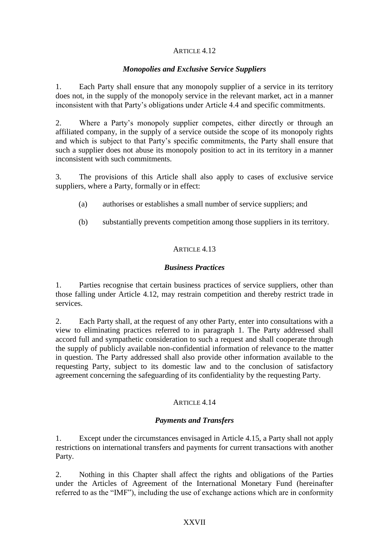# ARTICLE 4.12

# *Monopolies and Exclusive Service Suppliers*

1. Each Party shall ensure that any monopoly supplier of a service in its territory does not, in the supply of the monopoly service in the relevant market, act in a manner inconsistent with that Party's obligations under Article 4.4 and specific commitments.

2. Where a Party's monopoly supplier competes, either directly or through an affiliated company, in the supply of a service outside the scope of its monopoly rights and which is subject to that Party's specific commitments, the Party shall ensure that such a supplier does not abuse its monopoly position to act in its territory in a manner inconsistent with such commitments.

3. The provisions of this Article shall also apply to cases of exclusive service suppliers, where a Party, formally or in effect:

- (a) authorises or establishes a small number of service suppliers; and
- (b) substantially prevents competition among those suppliers in its territory.

# ARTICLE 4.13

# *Business Practices*

1. Parties recognise that certain business practices of service suppliers, other than those falling under Article 4.12, may restrain competition and thereby restrict trade in services.

2. Each Party shall, at the request of any other Party, enter into consultations with a view to eliminating practices referred to in paragraph 1. The Party addressed shall accord full and sympathetic consideration to such a request and shall cooperate through the supply of publicly available non-confidential information of relevance to the matter in question. The Party addressed shall also provide other information available to the requesting Party, subject to its domestic law and to the conclusion of satisfactory agreement concerning the safeguarding of its confidentiality by the requesting Party.

# ARTICLE 4.14

# *Payments and Transfers*

1. Except under the circumstances envisaged in Article 4.15, a Party shall not apply restrictions on international transfers and payments for current transactions with another Party.

2. Nothing in this Chapter shall affect the rights and obligations of the Parties under the Articles of Agreement of the International Monetary Fund (hereinafter referred to as the "IMF"), including the use of exchange actions which are in conformity

## XXVII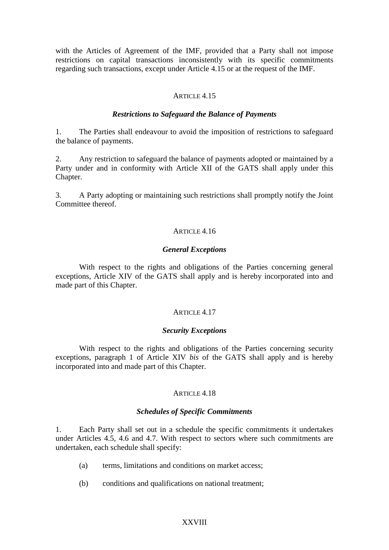with the Articles of Agreement of the IMF, provided that a Party shall not impose restrictions on capital transactions inconsistently with its specific commitments regarding such transactions, except under Article 4.15 or at the request of the IMF.

#### ARTICLE 4.15

#### *Restrictions to Safeguard the Balance of Payments*

1. The Parties shall endeavour to avoid the imposition of restrictions to safeguard the balance of payments.

2. Any restriction to safeguard the balance of payments adopted or maintained by a Party under and in conformity with Article XII of the GATS shall apply under this Chapter.

3. A Party adopting or maintaining such restrictions shall promptly notify the Joint Committee thereof.

## ARTICLE 4.16

#### *General Exceptions*

With respect to the rights and obligations of the Parties concerning general exceptions, Article XIV of the GATS shall apply and is hereby incorporated into and made part of this Chapter.

#### ARTICLE 4.17

#### *Security Exceptions*

With respect to the rights and obligations of the Parties concerning security exceptions, paragraph 1 of Article XIV *bis* of the GATS shall apply and is hereby incorporated into and made part of this Chapter.

## ARTICLE  $4.18$

#### *Schedules of Specific Commitments*

1. Each Party shall set out in a schedule the specific commitments it undertakes under Articles 4.5, 4.6 and 4.7. With respect to sectors where such commitments are undertaken, each schedule shall specify:

- (a) terms, limitations and conditions on market access;
- (b) conditions and qualifications on national treatment;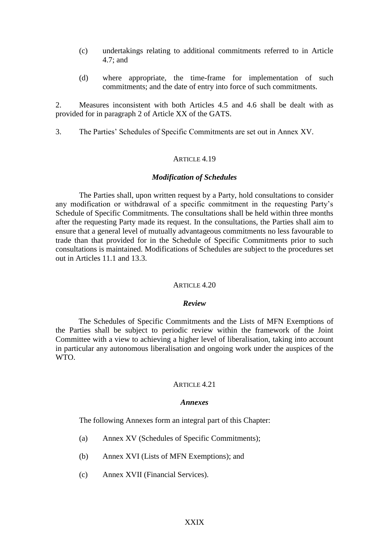- (c) undertakings relating to additional commitments referred to in Article 4.7; and
- (d) where appropriate, the time-frame for implementation of such commitments; and the date of entry into force of such commitments.

2. Measures inconsistent with both Articles 4.5 and 4.6 shall be dealt with as provided for in paragraph 2 of Article XX of the GATS.

3. The Parties' Schedules of Specific Commitments are set out in Annex XV.

#### ARTICLE 4.19

#### *Modification of Schedules*

The Parties shall, upon written request by a Party, hold consultations to consider any modification or withdrawal of a specific commitment in the requesting Party's Schedule of Specific Commitments. The consultations shall be held within three months after the requesting Party made its request. In the consultations, the Parties shall aim to ensure that a general level of mutually advantageous commitments no less favourable to trade than that provided for in the Schedule of Specific Commitments prior to such consultations is maintained. Modifications of Schedules are subject to the procedures set out in Articles 11.1 and 13.3.

#### ARTICLE 4.20

#### *Review*

The Schedules of Specific Commitments and the Lists of MFN Exemptions of the Parties shall be subject to periodic review within the framework of the Joint Committee with a view to achieving a higher level of liberalisation, taking into account in particular any autonomous liberalisation and ongoing work under the auspices of the WTO.

#### ARTICLE  $4.21$

#### *Annexes*

The following Annexes form an integral part of this Chapter:

- (a) Annex XV (Schedules of Specific Commitments);
- (b) Annex XVI (Lists of MFN Exemptions); and
- (c) Annex XVII (Financial Services).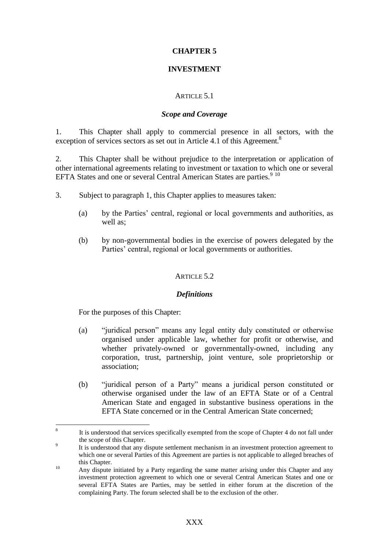# **CHAPTER 5**

# **INVESTMENT**

## ARTICLE 5.1

#### *Scope and Coverage*

1. This Chapter shall apply to commercial presence in all sectors, with the exception of services sectors as set out in Article 4.1 of this Agreement.<sup>8</sup>

2. This Chapter shall be without prejudice to the interpretation or application of other international agreements relating to investment or taxation to which one or several EFTA States and one or several Central American States are parties.<sup>9 10</sup>

- 3. Subject to paragraph 1, this Chapter applies to measures taken:
	- (a) by the Parties' central, regional or local governments and authorities, as well as:
	- (b) by non-governmental bodies in the exercise of powers delegated by the Parties' central, regional or local governments or authorities.

## ARTICLE 5.2

#### *Definitions*

For the purposes of this Chapter:

1

- (a) "juridical person" means any legal entity duly constituted or otherwise organised under applicable law, whether for profit or otherwise, and whether privately-owned or governmentally-owned, including any corporation, trust, partnership, joint venture, sole proprietorship or association;
- (b) "juridical person of a Party" means a juridical person constituted or otherwise organised under the law of an EFTA State or of a Central American State and engaged in substantive business operations in the EFTA State concerned or in the Central American State concerned;

 $\mathbf{Q}$ It is understood that services specifically exempted from the scope of Chapter 4 do not fall under the scope of this Chapter.

 $\overline{9}$ It is understood that any dispute settlement mechanism in an investment protection agreement to which one or several Parties of this Agreement are parties is not applicable to alleged breaches of this Chapter.

<sup>&</sup>lt;sup>10</sup> Any dispute initiated by a Party regarding the same matter arising under this Chapter and any investment protection agreement to which one or several Central American States and one or several EFTA States are Parties, may be settled in either forum at the discretion of the complaining Party. The forum selected shall be to the exclusion of the other.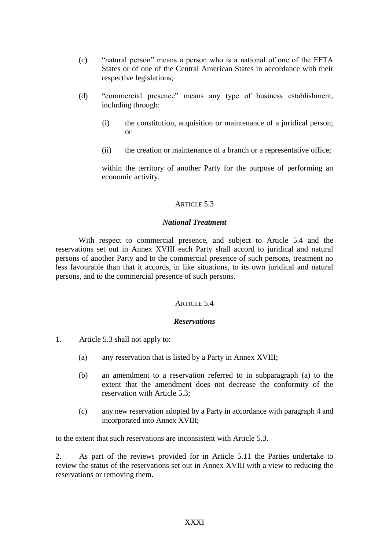- (c) "natural person" means a person who is a national of one of the EFTA States or of one of the Central American States in accordance with their respective legislations;
- (d) "commercial presence" means any type of business establishment, including through:
	- (i) the constitution, acquisition or maintenance of a juridical person; or
	- (ii) the creation or maintenance of a branch or a representative office;

within the territory of another Party for the purpose of performing an economic activity.

# ARTICLE 5.3

## *National Treatment*

With respect to commercial presence, and subject to Article 5.4 and the reservations set out in Annex XVIII each Party shall accord to juridical and natural persons of another Party and to the commercial presence of such persons, treatment no less favourable than that it accords, in like situations, to its own juridical and natural persons, and to the commercial presence of such persons.

## ARTICLE 54

## *Reservations*

- 1. Article 5.3 shall not apply to:
	- (a) any reservation that is listed by a Party in Annex XVIII;
	- (b) an amendment to a reservation referred to in subparagraph (a) to the extent that the amendment does not decrease the conformity of the reservation with Article 5.3;
	- (c) any new reservation adopted by a Party in accordance with paragraph 4 and incorporated into Annex XVIII;

to the extent that such reservations are inconsistent with Article 5.3.

2. As part of the reviews provided for in Article 5.11 the Parties undertake to review the status of the reservations set out in Annex XVIII with a view to reducing the reservations or removing them.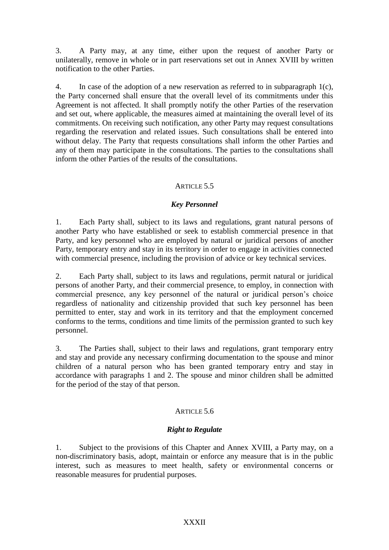3. A Party may, at any time, either upon the request of another Party or unilaterally, remove in whole or in part reservations set out in Annex XVIII by written notification to the other Parties.

4. In case of the adoption of a new reservation as referred to in subparagraph 1(c), the Party concerned shall ensure that the overall level of its commitments under this Agreement is not affected. It shall promptly notify the other Parties of the reservation and set out, where applicable, the measures aimed at maintaining the overall level of its commitments. On receiving such notification, any other Party may request consultations regarding the reservation and related issues. Such consultations shall be entered into without delay. The Party that requests consultations shall inform the other Parties and any of them may participate in the consultations. The parties to the consultations shall inform the other Parties of the results of the consultations.

# ARTICLE 5.5

# *Key Personnel*

1. Each Party shall, subject to its laws and regulations, grant natural persons of another Party who have established or seek to establish commercial presence in that Party, and key personnel who are employed by natural or juridical persons of another Party, temporary entry and stay in its territory in order to engage in activities connected with commercial presence, including the provision of advice or key technical services.

2. Each Party shall, subject to its laws and regulations, permit natural or juridical persons of another Party, and their commercial presence, to employ, in connection with commercial presence, any key personnel of the natural or juridical person's choice regardless of nationality and citizenship provided that such key personnel has been permitted to enter, stay and work in its territory and that the employment concerned conforms to the terms, conditions and time limits of the permission granted to such key personnel.

3. The Parties shall, subject to their laws and regulations, grant temporary entry and stay and provide any necessary confirming documentation to the spouse and minor children of a natural person who has been granted temporary entry and stay in accordance with paragraphs 1 and 2. The spouse and minor children shall be admitted for the period of the stay of that person.

# ARTICLE 5.6

## *Right to Regulate*

1. Subject to the provisions of this Chapter and Annex XVIII, a Party may, on a non-discriminatory basis, adopt, maintain or enforce any measure that is in the public interest, such as measures to meet health, safety or environmental concerns or reasonable measures for prudential purposes.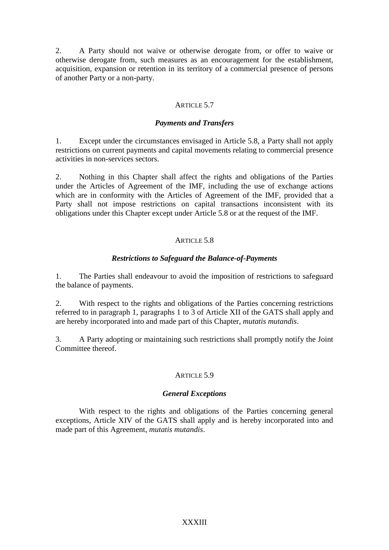2. A Party should not waive or otherwise derogate from, or offer to waive or otherwise derogate from, such measures as an encouragement for the establishment, acquisition, expansion or retention in its territory of a commercial presence of persons of another Party or a non-party.

# ARTICLE 5.7

# *Payments and Transfers*

1. Except under the circumstances envisaged in Article 5.8, a Party shall not apply restrictions on current payments and capital movements relating to commercial presence activities in non-services sectors.

2. Nothing in this Chapter shall affect the rights and obligations of the Parties under the Articles of Agreement of the IMF, including the use of exchange actions which are in conformity with the Articles of Agreement of the IMF, provided that a Party shall not impose restrictions on capital transactions inconsistent with its obligations under this Chapter except under Article 5.8 or at the request of the IMF.

# ARTICLE 5.8

# *Restrictions to Safeguard the Balance-of-Payments*

1. The Parties shall endeavour to avoid the imposition of restrictions to safeguard the balance of payments.

2. With respect to the rights and obligations of the Parties concerning restrictions referred to in paragraph 1, paragraphs 1 to 3 of Article XII of the GATS shall apply and are hereby incorporated into and made part of this Chapter, *mutatis mutandis*.

3. A Party adopting or maintaining such restrictions shall promptly notify the Joint Committee thereof.

## ARTICLE 5.9

## *General Exceptions*

With respect to the rights and obligations of the Parties concerning general exceptions, Article XIV of the GATS shall apply and is hereby incorporated into and made part of this Agreement, *mutatis mutandis*.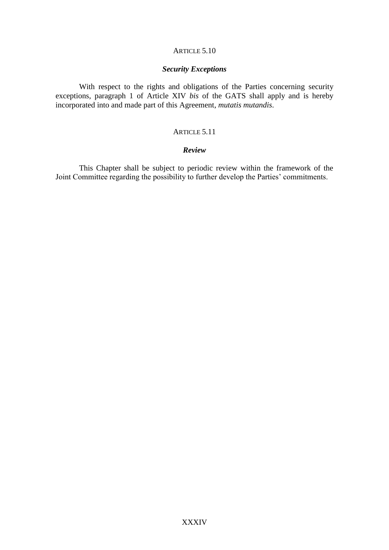# ARTICLE 5.10

#### *Security Exceptions*

With respect to the rights and obligations of the Parties concerning security exceptions, paragraph 1 of Article XIV *bis* of the GATS shall apply and is hereby incorporated into and made part of this Agreement, *mutatis mutandis*.

## ARTICLE 5.11

## *Review*

This Chapter shall be subject to periodic review within the framework of the Joint Committee regarding the possibility to further develop the Parties' commitments.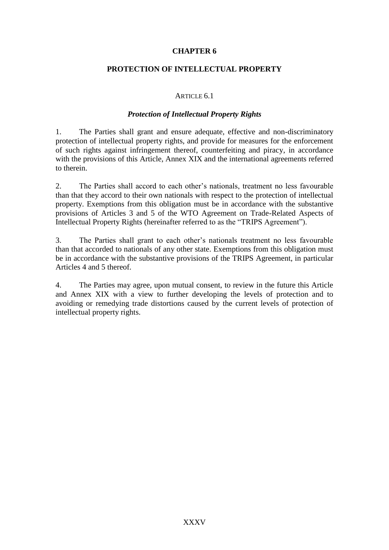# **CHAPTER 6**

# **PROTECTION OF INTELLECTUAL PROPERTY**

#### ARTICLE 6.1

#### *Protection of Intellectual Property Rights*

1. The Parties shall grant and ensure adequate, effective and non-discriminatory protection of intellectual property rights, and provide for measures for the enforcement of such rights against infringement thereof, counterfeiting and piracy, in accordance with the provisions of this Article, Annex XIX and the international agreements referred to therein.

2. The Parties shall accord to each other's nationals, treatment no less favourable than that they accord to their own nationals with respect to the protection of intellectual property. Exemptions from this obligation must be in accordance with the substantive provisions of Articles 3 and 5 of the WTO Agreement on Trade-Related Aspects of Intellectual Property Rights (hereinafter referred to as the "TRIPS Agreement").

3. The Parties shall grant to each other's nationals treatment no less favourable than that accorded to nationals of any other state. Exemptions from this obligation must be in accordance with the substantive provisions of the TRIPS Agreement, in particular Articles 4 and 5 thereof.

4. The Parties may agree, upon mutual consent, to review in the future this Article and Annex XIX with a view to further developing the levels of protection and to avoiding or remedying trade distortions caused by the current levels of protection of intellectual property rights.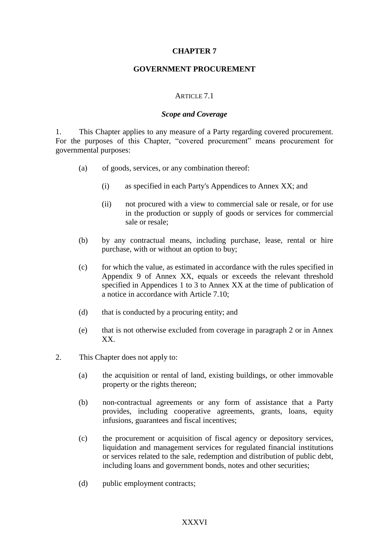## **CHAPTER 7**

## **GOVERNMENT PROCUREMENT**

#### ARTICLE 7.1

#### *Scope and Coverage*

1. This Chapter applies to any measure of a Party regarding covered procurement. For the purposes of this Chapter, "covered procurement" means procurement for governmental purposes:

- (a) of goods, services, or any combination thereof:
	- (i) as specified in each Party's Appendices to Annex XX; and
	- (ii) not procured with a view to commercial sale or resale, or for use in the production or supply of goods or services for commercial sale or resale;
- (b) by any contractual means, including purchase, lease, rental or hire purchase, with or without an option to buy;
- (c) for which the value, as estimated in accordance with the rules specified in Appendix 9 of Annex XX, equals or exceeds the relevant threshold specified in Appendices 1 to 3 to Annex XX at the time of publication of a notice in accordance with Article 7.10;
- (d) that is conducted by a procuring entity; and
- (e) that is not otherwise excluded from coverage in paragraph 2 or in Annex XX.
- 2. This Chapter does not apply to:
	- (a) the acquisition or rental of land, existing buildings, or other immovable property or the rights thereon;
	- (b) non-contractual agreements or any form of assistance that a Party provides, including cooperative agreements, grants, loans, equity infusions, guarantees and fiscal incentives;
	- (c) the procurement or acquisition of fiscal agency or depository services, liquidation and management services for regulated financial institutions or services related to the sale, redemption and distribution of public debt, including loans and government bonds, notes and other securities;
	- (d) public employment contracts;

## XXXVI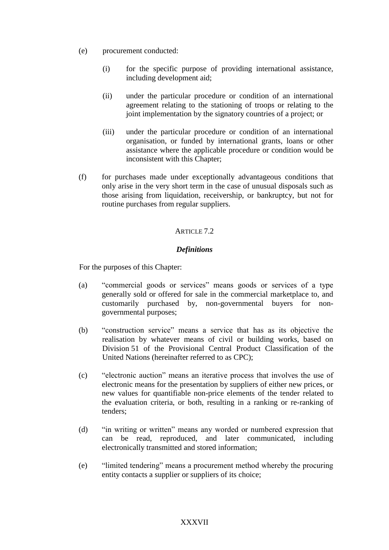- (e) procurement conducted:
	- (i) for the specific purpose of providing international assistance, including development aid;
	- (ii) under the particular procedure or condition of an international agreement relating to the stationing of troops or relating to the joint implementation by the signatory countries of a project; or
	- (iii) under the particular procedure or condition of an international organisation, or funded by international grants, loans or other assistance where the applicable procedure or condition would be inconsistent with this Chapter;
- (f) for purchases made under exceptionally advantageous conditions that only arise in the very short term in the case of unusual disposals such as those arising from liquidation, receivership, or bankruptcy, but not for routine purchases from regular suppliers.

## ARTICLE 7.2

#### *Definitions*

For the purposes of this Chapter:

- (a) "commercial goods or services" means goods or services of a type generally sold or offered for sale in the commercial marketplace to, and customarily purchased by, non-governmental buyers for nongovernmental purposes;
- (b) "construction service" means a service that has as its objective the realisation by whatever means of civil or building works, based on Division 51 of the Provisional Central Product Classification of the United Nations (hereinafter referred to as CPC);
- (c) "electronic auction" means an iterative process that involves the use of electronic means for the presentation by suppliers of either new prices, or new values for quantifiable non-price elements of the tender related to the evaluation criteria, or both, resulting in a ranking or re-ranking of tenders;
- (d) "in writing or written" means any worded or numbered expression that can be read, reproduced, and later communicated, including electronically transmitted and stored information;
- (e) "limited tendering" means a procurement method whereby the procuring entity contacts a supplier or suppliers of its choice;

#### XXXVII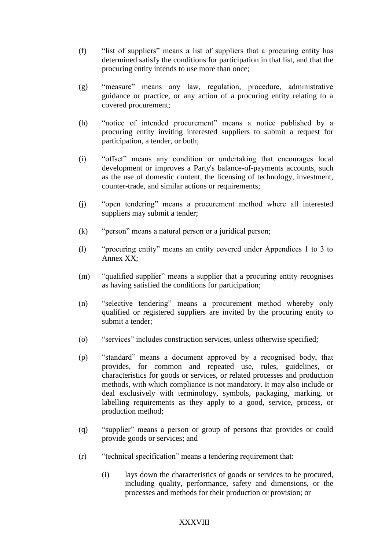- (f) "list of suppliers" means a list of suppliers that a procuring entity has determined satisfy the conditions for participation in that list, and that the procuring entity intends to use more than once;
- (g) "measure" means any law, regulation, procedure, administrative guidance or practice, or any action of a procuring entity relating to a covered procurement;
- (h) "notice of intended procurement" means a notice published by a procuring entity inviting interested suppliers to submit a request for participation, a tender, or both;
- (i) "offset" means any condition or undertaking that encourages local development or improves a Party's balance-of-payments accounts, such as the use of domestic content, the licensing of technology, investment, counter-trade, and similar actions or requirements;
- (j) "open tendering" means a procurement method where all interested suppliers may submit a tender;
- (k) "person" means a natural person or a juridical person;
- (l) "procuring entity" means an entity covered under Appendices 1 to 3 to Annex XX;
- (m) "qualified supplier" means a supplier that a procuring entity recognises as having satisfied the conditions for participation;
- (n) "selective tendering" means a procurement method whereby only qualified or registered suppliers are invited by the procuring entity to submit a tender;
- (o) "services" includes construction services, unless otherwise specified;
- (p) "standard" means a document approved by a recognised body, that provides, for common and repeated use, rules, guidelines, or characteristics for goods or services, or related processes and production methods, with which compliance is not mandatory. It may also include or deal exclusively with terminology, symbols, packaging, marking, or labelling requirements as they apply to a good, service, process, or production method;
- (q) "supplier" means a person or group of persons that provides or could provide goods or services; and
- (r) "technical specification" means a tendering requirement that:
	- (i) lays down the characteristics of goods or services to be procured, including quality, performance, safety and dimensions, or the processes and methods for their production or provision; or

### **XXXVIII**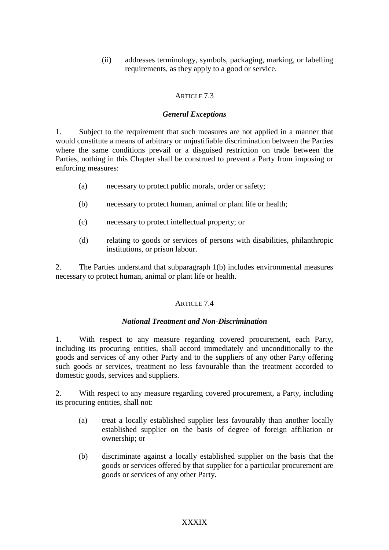(ii) addresses terminology, symbols, packaging, marking, or labelling requirements, as they apply to a good or service.

# ARTICLE 7.3

## *General Exceptions*

1. Subject to the requirement that such measures are not applied in a manner that would constitute a means of arbitrary or unjustifiable discrimination between the Parties where the same conditions prevail or a disguised restriction on trade between the Parties, nothing in this Chapter shall be construed to prevent a Party from imposing or enforcing measures:

- (a) necessary to protect public morals, order or safety;
- (b) necessary to protect human, animal or plant life or health;
- (c) necessary to protect intellectual property; or
- (d) relating to goods or services of persons with disabilities, philanthropic institutions, or prison labour.

2. The Parties understand that subparagraph 1(b) includes environmental measures necessary to protect human, animal or plant life or health.

# ARTICLE 74

### *National Treatment and Non-Discrimination*

1. With respect to any measure regarding covered procurement, each Party, including its procuring entities, shall accord immediately and unconditionally to the goods and services of any other Party and to the suppliers of any other Party offering such goods or services, treatment no less favourable than the treatment accorded to domestic goods, services and suppliers.

2. With respect to any measure regarding covered procurement, a Party, including its procuring entities, shall not:

- (a) treat a locally established supplier less favourably than another locally established supplier on the basis of degree of foreign affiliation or ownership; or
- (b) discriminate against a locally established supplier on the basis that the goods or services offered by that supplier for a particular procurement are goods or services of any other Party.

### XXXIX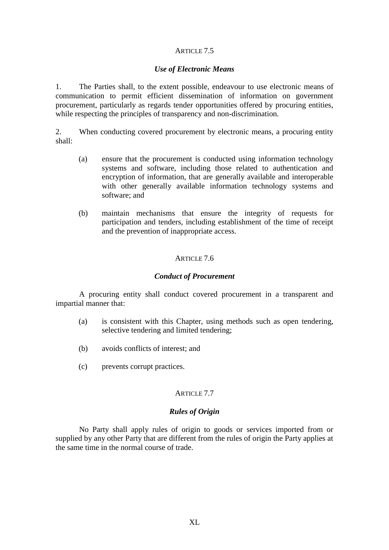## *Use of Electronic Means*

1. The Parties shall, to the extent possible, endeavour to use electronic means of communication to permit efficient dissemination of information on government procurement, particularly as regards tender opportunities offered by procuring entities, while respecting the principles of transparency and non-discrimination.

2. When conducting covered procurement by electronic means, a procuring entity shall:

- (a) ensure that the procurement is conducted using information technology systems and software, including those related to authentication and encryption of information, that are generally available and interoperable with other generally available information technology systems and software; and
- (b) maintain mechanisms that ensure the integrity of requests for participation and tenders, including establishment of the time of receipt and the prevention of inappropriate access.

## ARTICLE 7.6

### *Conduct of Procurement*

A procuring entity shall conduct covered procurement in a transparent and impartial manner that:

- (a) is consistent with this Chapter, using methods such as open tendering, selective tendering and limited tendering;
- (b) avoids conflicts of interest; and
- (c) prevents corrupt practices.

## ARTICLE 7.7

### *Rules of Origin*

No Party shall apply rules of origin to goods or services imported from or supplied by any other Party that are different from the rules of origin the Party applies at the same time in the normal course of trade.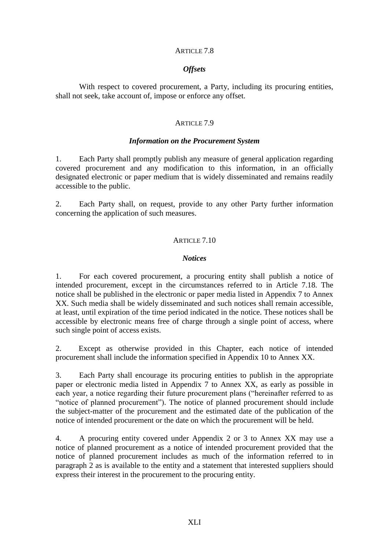#### *Offsets*

With respect to covered procurement, a Party, including its procuring entities, shall not seek, take account of, impose or enforce any offset.

#### ARTICLE 7.9

#### *Information on the Procurement System*

1. Each Party shall promptly publish any measure of general application regarding covered procurement and any modification to this information, in an officially designated electronic or paper medium that is widely disseminated and remains readily accessible to the public.

2. Each Party shall, on request, provide to any other Party further information concerning the application of such measures.

#### ARTICLE 7.10

#### *Notices*

1. For each covered procurement, a procuring entity shall publish a notice of intended procurement, except in the circumstances referred to in Article 7.18. The notice shall be published in the electronic or paper media listed in Appendix 7 to Annex XX. Such media shall be widely disseminated and such notices shall remain accessible, at least, until expiration of the time period indicated in the notice. These notices shall be accessible by electronic means free of charge through a single point of access, where such single point of access exists.

2. Except as otherwise provided in this Chapter, each notice of intended procurement shall include the information specified in Appendix 10 to Annex XX.

3. Each Party shall encourage its procuring entities to publish in the appropriate paper or electronic media listed in Appendix 7 to Annex XX, as early as possible in each year, a notice regarding their future procurement plans ("hereinafter referred to as "notice of planned procurement"). The notice of planned procurement should include the subject-matter of the procurement and the estimated date of the publication of the notice of intended procurement or the date on which the procurement will be held.

4. A procuring entity covered under Appendix 2 or 3 to Annex XX may use a notice of planned procurement as a notice of intended procurement provided that the notice of planned procurement includes as much of the information referred to in paragraph 2 as is available to the entity and a statement that interested suppliers should express their interest in the procurement to the procuring entity.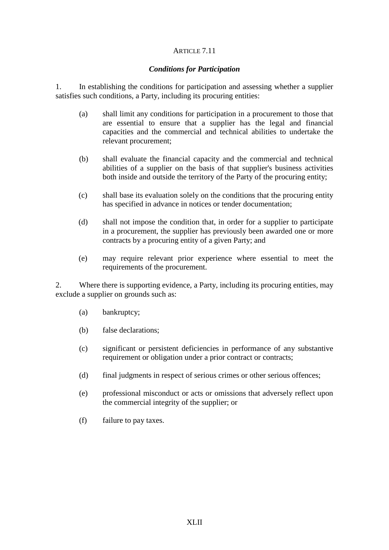## *Conditions for Participation*

1. In establishing the conditions for participation and assessing whether a supplier satisfies such conditions, a Party, including its procuring entities:

- (a) shall limit any conditions for participation in a procurement to those that are essential to ensure that a supplier has the legal and financial capacities and the commercial and technical abilities to undertake the relevant procurement;
- (b) shall evaluate the financial capacity and the commercial and technical abilities of a supplier on the basis of that supplier's business activities both inside and outside the territory of the Party of the procuring entity;
- (c) shall base its evaluation solely on the conditions that the procuring entity has specified in advance in notices or tender documentation;
- (d) shall not impose the condition that, in order for a supplier to participate in a procurement, the supplier has previously been awarded one or more contracts by a procuring entity of a given Party; and
- (e) may require relevant prior experience where essential to meet the requirements of the procurement.

2. Where there is supporting evidence, a Party, including its procuring entities, may exclude a supplier on grounds such as:

- (a) bankruptcy;
- (b) false declarations;
- (c) significant or persistent deficiencies in performance of any substantive requirement or obligation under a prior contract or contracts;
- (d) final judgments in respect of serious crimes or other serious offences;
- (e) professional misconduct or acts or omissions that adversely reflect upon the commercial integrity of the supplier; or
- (f) failure to pay taxes.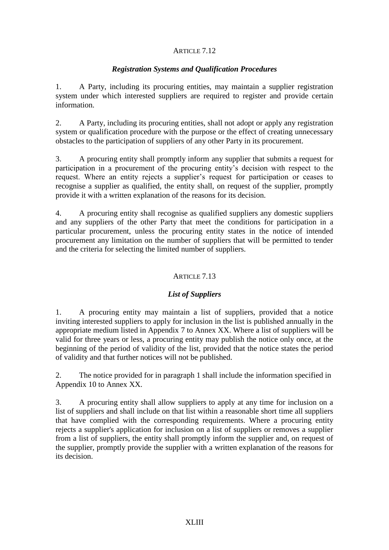## *Registration Systems and Qualification Procedures*

1. A Party, including its procuring entities, may maintain a supplier registration system under which interested suppliers are required to register and provide certain information.

2. A Party, including its procuring entities, shall not adopt or apply any registration system or qualification procedure with the purpose or the effect of creating unnecessary obstacles to the participation of suppliers of any other Party in its procurement.

3. A procuring entity shall promptly inform any supplier that submits a request for participation in a procurement of the procuring entity's decision with respect to the request. Where an entity rejects a supplier's request for participation or ceases to recognise a supplier as qualified, the entity shall, on request of the supplier, promptly provide it with a written explanation of the reasons for its decision.

4. A procuring entity shall recognise as qualified suppliers any domestic suppliers and any suppliers of the other Party that meet the conditions for participation in a particular procurement, unless the procuring entity states in the notice of intended procurement any limitation on the number of suppliers that will be permitted to tender and the criteria for selecting the limited number of suppliers.

## ARTICLE 7.13

# *List of Suppliers*

1. A procuring entity may maintain a list of suppliers, provided that a notice inviting interested suppliers to apply for inclusion in the list is published annually in the appropriate medium listed in Appendix 7 to Annex XX. Where a list of suppliers will be valid for three years or less, a procuring entity may publish the notice only once, at the beginning of the period of validity of the list, provided that the notice states the period of validity and that further notices will not be published.

2. The notice provided for in paragraph 1 shall include the information specified in Appendix 10 to Annex XX.

3. A procuring entity shall allow suppliers to apply at any time for inclusion on a list of suppliers and shall include on that list within a reasonable short time all suppliers that have complied with the corresponding requirements. Where a procuring entity rejects a supplier's application for inclusion on a list of suppliers or removes a supplier from a list of suppliers, the entity shall promptly inform the supplier and, on request of the supplier, promptly provide the supplier with a written explanation of the reasons for its decision.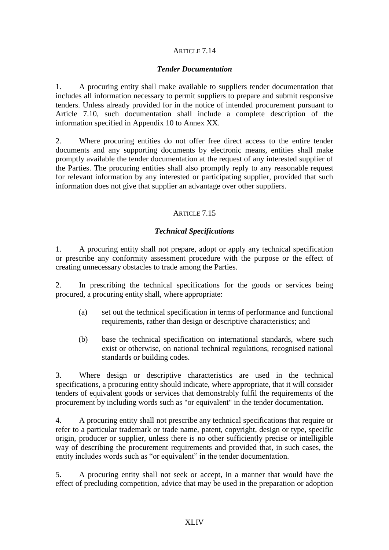### *Tender Documentation*

1. A procuring entity shall make available to suppliers tender documentation that includes all information necessary to permit suppliers to prepare and submit responsive tenders. Unless already provided for in the notice of intended procurement pursuant to Article 7.10, such documentation shall include a complete description of the information specified in Appendix 10 to Annex XX.

2. Where procuring entities do not offer free direct access to the entire tender documents and any supporting documents by electronic means, entities shall make promptly available the tender documentation at the request of any interested supplier of the Parties. The procuring entities shall also promptly reply to any reasonable request for relevant information by any interested or participating supplier, provided that such information does not give that supplier an advantage over other suppliers.

# ARTICLE 7.15

## *Technical Specifications*

1. A procuring entity shall not prepare, adopt or apply any technical specification or prescribe any conformity assessment procedure with the purpose or the effect of creating unnecessary obstacles to trade among the Parties.

2. In prescribing the technical specifications for the goods or services being procured, a procuring entity shall, where appropriate:

- (a) set out the technical specification in terms of performance and functional requirements, rather than design or descriptive characteristics; and
- (b) base the technical specification on international standards, where such exist or otherwise, on national technical regulations, recognised national standards or building codes.

3. Where design or descriptive characteristics are used in the technical specifications, a procuring entity should indicate, where appropriate, that it will consider tenders of equivalent goods or services that demonstrably fulfil the requirements of the procurement by including words such as "or equivalent" in the tender documentation.

4. A procuring entity shall not prescribe any technical specifications that require or refer to a particular trademark or trade name, patent, copyright, design or type, specific origin, producer or supplier, unless there is no other sufficiently precise or intelligible way of describing the procurement requirements and provided that, in such cases, the entity includes words such as "or equivalent" in the tender documentation.

5. A procuring entity shall not seek or accept, in a manner that would have the effect of precluding competition, advice that may be used in the preparation or adoption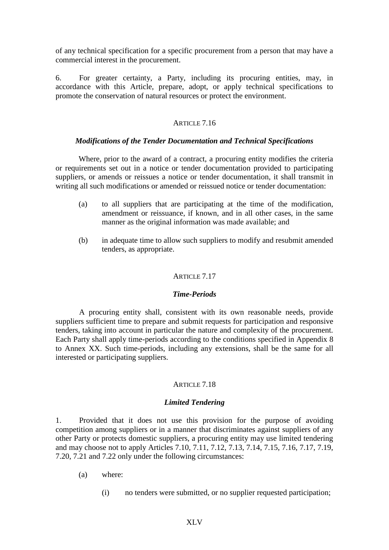of any technical specification for a specific procurement from a person that may have a commercial interest in the procurement.

6. For greater certainty, a Party, including its procuring entities, may, in accordance with this Article, prepare, adopt, or apply technical specifications to promote the conservation of natural resources or protect the environment.

### ARTICLE 7.16

#### *Modifications of the Tender Documentation and Technical Specifications*

Where, prior to the award of a contract, a procuring entity modifies the criteria or requirements set out in a notice or tender documentation provided to participating suppliers, or amends or reissues a notice or tender documentation, it shall transmit in writing all such modifications or amended or reissued notice or tender documentation:

- (a) to all suppliers that are participating at the time of the modification, amendment or reissuance, if known, and in all other cases, in the same manner as the original information was made available; and
- (b) in adequate time to allow such suppliers to modify and resubmit amended tenders, as appropriate.

### ARTICLE 7.17

### *Time-Periods*

A procuring entity shall, consistent with its own reasonable needs, provide suppliers sufficient time to prepare and submit requests for participation and responsive tenders, taking into account in particular the nature and complexity of the procurement. Each Party shall apply time-periods according to the conditions specified in Appendix 8 to Annex XX. Such time-periods, including any extensions, shall be the same for all interested or participating suppliers.

### ARTICLE 7.18

### *Limited Tendering*

1. Provided that it does not use this provision for the purpose of avoiding competition among suppliers or in a manner that discriminates against suppliers of any other Party or protects domestic suppliers, a procuring entity may use limited tendering and may choose not to apply Articles 7.10, 7.11, 7.12, 7.13, 7.14, 7.15, 7.16, 7.17, 7.19, 7.20, 7.21 and 7.22 only under the following circumstances:

- (a) where:
	- (i) no tenders were submitted, or no supplier requested participation;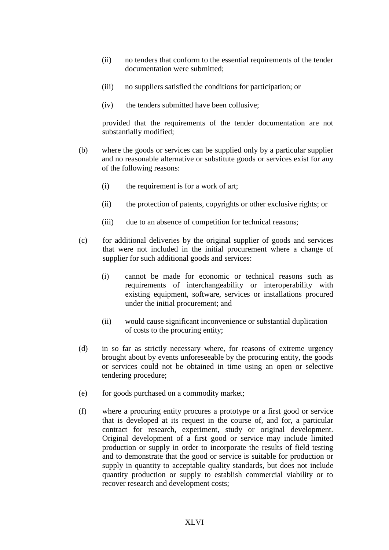- (ii) no tenders that conform to the essential requirements of the tender documentation were submitted;
- (iii) no suppliers satisfied the conditions for participation; or
- (iv) the tenders submitted have been collusive;

provided that the requirements of the tender documentation are not substantially modified;

- (b) where the goods or services can be supplied only by a particular supplier and no reasonable alternative or substitute goods or services exist for any of the following reasons:
	- (i) the requirement is for a work of art;
	- (ii) the protection of patents, copyrights or other exclusive rights; or
	- (iii) due to an absence of competition for technical reasons;
- (c) for additional deliveries by the original supplier of goods and services that were not included in the initial procurement where a change of supplier for such additional goods and services:
	- (i) cannot be made for economic or technical reasons such as requirements of interchangeability or interoperability with existing equipment, software, services or installations procured under the initial procurement; and
	- (ii) would cause significant inconvenience or substantial duplication of costs to the procuring entity;
- (d) in so far as strictly necessary where, for reasons of extreme urgency brought about by events unforeseeable by the procuring entity, the goods or services could not be obtained in time using an open or selective tendering procedure;
- (e) for goods purchased on a commodity market;
- (f) where a procuring entity procures a prototype or a first good or service that is developed at its request in the course of, and for, a particular contract for research, experiment, study or original development. Original development of a first good or service may include limited production or supply in order to incorporate the results of field testing and to demonstrate that the good or service is suitable for production or supply in quantity to acceptable quality standards, but does not include quantity production or supply to establish commercial viability or to recover research and development costs;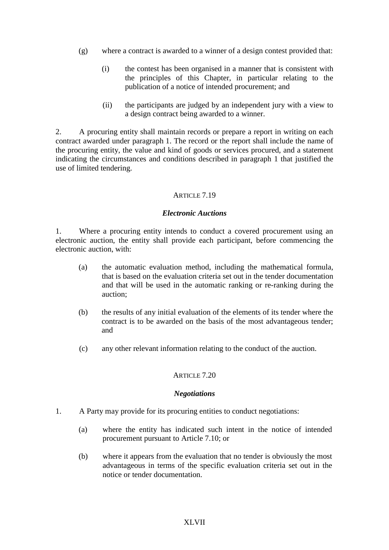- (g) where a contract is awarded to a winner of a design contest provided that:
	- (i) the contest has been organised in a manner that is consistent with the principles of this Chapter, in particular relating to the publication of a notice of intended procurement; and
	- (ii) the participants are judged by an independent jury with a view to a design contract being awarded to a winner.

2. A procuring entity shall maintain records or prepare a report in writing on each contract awarded under paragraph 1. The record or the report shall include the name of the procuring entity, the value and kind of goods or services procured, and a statement indicating the circumstances and conditions described in paragraph 1 that justified the use of limited tendering.

### ARTICLE 7.19

#### *Electronic Auctions*

1. Where a procuring entity intends to conduct a covered procurement using an electronic auction, the entity shall provide each participant, before commencing the electronic auction, with:

- (a) the automatic evaluation method, including the mathematical formula, that is based on the evaluation criteria set out in the tender documentation and that will be used in the automatic ranking or re-ranking during the auction;
- (b) the results of any initial evaluation of the elements of its tender where the contract is to be awarded on the basis of the most advantageous tender; and
- (c) any other relevant information relating to the conduct of the auction.

#### ARTICLE 7.20

#### *Negotiations*

- 1. A Party may provide for its procuring entities to conduct negotiations:
	- (a) where the entity has indicated such intent in the notice of intended procurement pursuant to Article 7.10; or
	- (b) where it appears from the evaluation that no tender is obviously the most advantageous in terms of the specific evaluation criteria set out in the notice or tender documentation.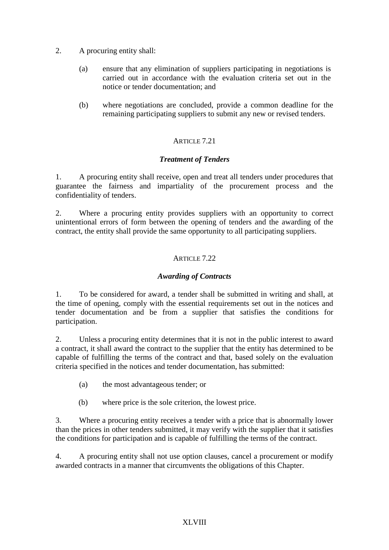- 2. A procuring entity shall:
	- (a) ensure that any elimination of suppliers participating in negotiations is carried out in accordance with the evaluation criteria set out in the notice or tender documentation; and
	- (b) where negotiations are concluded, provide a common deadline for the remaining participating suppliers to submit any new or revised tenders.

# *Treatment of Tenders*

1. A procuring entity shall receive, open and treat all tenders under procedures that guarantee the fairness and impartiality of the procurement process and the confidentiality of tenders.

2. Where a procuring entity provides suppliers with an opportunity to correct unintentional errors of form between the opening of tenders and the awarding of the contract, the entity shall provide the same opportunity to all participating suppliers.

# ARTICLE 7.22

## *Awarding of Contracts*

1. To be considered for award, a tender shall be submitted in writing and shall, at the time of opening, comply with the essential requirements set out in the notices and tender documentation and be from a supplier that satisfies the conditions for participation.

2. Unless a procuring entity determines that it is not in the public interest to award a contract, it shall award the contract to the supplier that the entity has determined to be capable of fulfilling the terms of the contract and that, based solely on the evaluation criteria specified in the notices and tender documentation, has submitted:

- (a) the most advantageous tender; or
- (b) where price is the sole criterion, the lowest price.

3. Where a procuring entity receives a tender with a price that is abnormally lower than the prices in other tenders submitted, it may verify with the supplier that it satisfies the conditions for participation and is capable of fulfilling the terms of the contract.

4. A procuring entity shall not use option clauses, cancel a procurement or modify awarded contracts in a manner that circumvents the obligations of this Chapter.

### XLVIII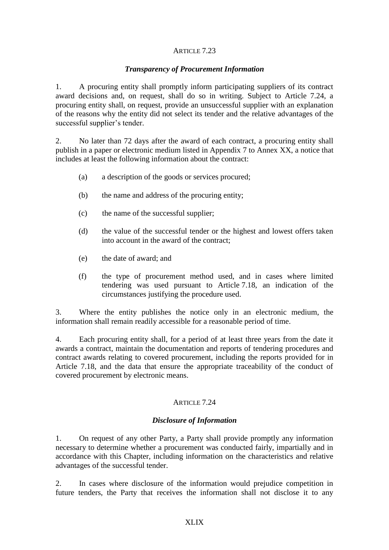### *Transparency of Procurement Information*

1. A procuring entity shall promptly inform participating suppliers of its contract award decisions and, on request, shall do so in writing. Subject to Article 7.24, a procuring entity shall, on request, provide an unsuccessful supplier with an explanation of the reasons why the entity did not select its tender and the relative advantages of the successful supplier's tender.

2. No later than 72 days after the award of each contract, a procuring entity shall publish in a paper or electronic medium listed in Appendix 7 to Annex XX, a notice that includes at least the following information about the contract:

- (a) a description of the goods or services procured;
- (b) the name and address of the procuring entity;
- (c) the name of the successful supplier;
- (d) the value of the successful tender or the highest and lowest offers taken into account in the award of the contract;
- (e) the date of award; and
- (f) the type of procurement method used, and in cases where limited tendering was used pursuant to Article 7.18, an indication of the circumstances justifying the procedure used.

3. Where the entity publishes the notice only in an electronic medium, the information shall remain readily accessible for a reasonable period of time.

4. Each procuring entity shall, for a period of at least three years from the date it awards a contract, maintain the documentation and reports of tendering procedures and contract awards relating to covered procurement, including the reports provided for in Article 7.18, and the data that ensure the appropriate traceability of the conduct of covered procurement by electronic means.

# ARTICLE 7.24

# *Disclosure of Information*

1. On request of any other Party, a Party shall provide promptly any information necessary to determine whether a procurement was conducted fairly, impartially and in accordance with this Chapter, including information on the characteristics and relative advantages of the successful tender.

2. In cases where disclosure of the information would prejudice competition in future tenders, the Party that receives the information shall not disclose it to any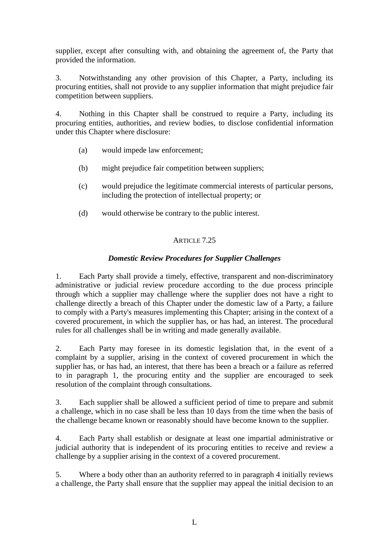supplier, except after consulting with, and obtaining the agreement of, the Party that provided the information.

3. Notwithstanding any other provision of this Chapter, a Party, including its procuring entities, shall not provide to any supplier information that might prejudice fair competition between suppliers.

4. Nothing in this Chapter shall be construed to require a Party, including its procuring entities, authorities, and review bodies, to disclose confidential information under this Chapter where disclosure:

- (a) would impede law enforcement;
- (b) might prejudice fair competition between suppliers;
- (c) would prejudice the legitimate commercial interests of particular persons, including the protection of intellectual property; or
- (d) would otherwise be contrary to the public interest.

# ARTICLE 7.25

# *Domestic Review Procedures for Supplier Challenges*

1. Each Party shall provide a timely, effective, transparent and non-discriminatory administrative or judicial review procedure according to the due process principle through which a supplier may challenge where the supplier does not have a right to challenge directly a breach of this Chapter under the domestic law of a Party, a failure to comply with a Party's measures implementing this Chapter; arising in the context of a covered procurement, in which the supplier has, or has had, an interest. The procedural rules for all challenges shall be in writing and made generally available.

2. Each Party may foresee in its domestic legislation that, in the event of a complaint by a supplier, arising in the context of covered procurement in which the supplier has, or has had, an interest, that there has been a breach or a failure as referred to in paragraph 1, the procuring entity and the supplier are encouraged to seek resolution of the complaint through consultations.

3. Each supplier shall be allowed a sufficient period of time to prepare and submit a challenge, which in no case shall be less than 10 days from the time when the basis of the challenge became known or reasonably should have become known to the supplier.

4. Each Party shall establish or designate at least one impartial administrative or judicial authority that is independent of its procuring entities to receive and review a challenge by a supplier arising in the context of a covered procurement.

5. Where a body other than an authority referred to in paragraph 4 initially reviews a challenge, the Party shall ensure that the supplier may appeal the initial decision to an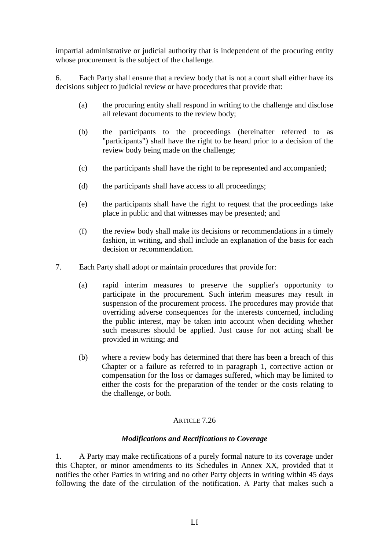impartial administrative or judicial authority that is independent of the procuring entity whose procurement is the subject of the challenge.

6. Each Party shall ensure that a review body that is not a court shall either have its decisions subject to judicial review or have procedures that provide that:

- (a) the procuring entity shall respond in writing to the challenge and disclose all relevant documents to the review body;
- (b) the participants to the proceedings (hereinafter referred to as "participants") shall have the right to be heard prior to a decision of the review body being made on the challenge;
- (c) the participants shall have the right to be represented and accompanied;
- (d) the participants shall have access to all proceedings;
- (e) the participants shall have the right to request that the proceedings take place in public and that witnesses may be presented; and
- (f) the review body shall make its decisions or recommendations in a timely fashion, in writing, and shall include an explanation of the basis for each decision or recommendation.
- 7. Each Party shall adopt or maintain procedures that provide for:
	- (a) rapid interim measures to preserve the supplier's opportunity to participate in the procurement. Such interim measures may result in suspension of the procurement process. The procedures may provide that overriding adverse consequences for the interests concerned, including the public interest, may be taken into account when deciding whether such measures should be applied. Just cause for not acting shall be provided in writing; and
	- (b) where a review body has determined that there has been a breach of this Chapter or a failure as referred to in paragraph 1, corrective action or compensation for the loss or damages suffered, which may be limited to either the costs for the preparation of the tender or the costs relating to the challenge, or both.

# ARTICLE 7.26

# *Modifications and Rectifications to Coverage*

1. A Party may make rectifications of a purely formal nature to its coverage under this Chapter, or minor amendments to its Schedules in Annex XX, provided that it notifies the other Parties in writing and no other Party objects in writing within 45 days following the date of the circulation of the notification. A Party that makes such a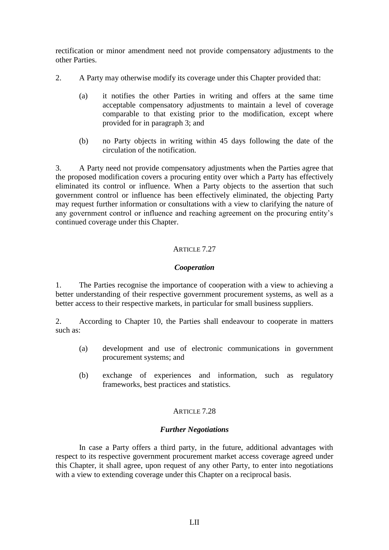rectification or minor amendment need not provide compensatory adjustments to the other Parties.

- 2. A Party may otherwise modify its coverage under this Chapter provided that:
	- (a) it notifies the other Parties in writing and offers at the same time acceptable compensatory adjustments to maintain a level of coverage comparable to that existing prior to the modification, except where provided for in paragraph 3; and
	- (b) no Party objects in writing within 45 days following the date of the circulation of the notification.

3. A Party need not provide compensatory adjustments when the Parties agree that the proposed modification covers a procuring entity over which a Party has effectively eliminated its control or influence. When a Party objects to the assertion that such government control or influence has been effectively eliminated, the objecting Party may request further information or consultations with a view to clarifying the nature of any government control or influence and reaching agreement on the procuring entity's continued coverage under this Chapter.

# ARTICLE 7.27

## *Cooperation*

1. The Parties recognise the importance of cooperation with a view to achieving a better understanding of their respective government procurement systems, as well as a better access to their respective markets, in particular for small business suppliers.

2. According to Chapter 10, the Parties shall endeavour to cooperate in matters such as:

- (a) development and use of electronic communications in government procurement systems; and
- (b) exchange of experiences and information, such as regulatory frameworks, best practices and statistics.

### ARTICLE 7.28

### *Further Negotiations*

In case a Party offers a third party, in the future, additional advantages with respect to its respective government procurement market access coverage agreed under this Chapter, it shall agree, upon request of any other Party, to enter into negotiations with a view to extending coverage under this Chapter on a reciprocal basis.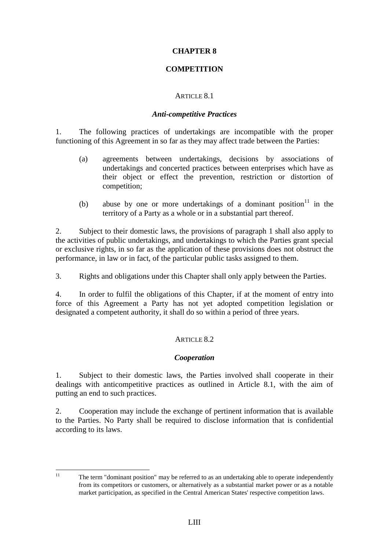## **CHAPTER 8**

## **COMPETITION**

### ARTICLE 8.1

#### *Anti-competitive Practices*

1. The following practices of undertakings are incompatible with the proper functioning of this Agreement in so far as they may affect trade between the Parties:

- (a) agreements between undertakings, decisions by associations of undertakings and concerted practices between enterprises which have as their object or effect the prevention, restriction or distortion of competition;
- (b) abuse by one or more undertakings of a dominant position  $11$  in the territory of a Party as a whole or in a substantial part thereof.

2. Subject to their domestic laws, the provisions of paragraph 1 shall also apply to the activities of public undertakings, and undertakings to which the Parties grant special or exclusive rights, in so far as the application of these provisions does not obstruct the performance, in law or in fact, of the particular public tasks assigned to them.

3. Rights and obligations under this Chapter shall only apply between the Parties.

4. In order to fulfil the obligations of this Chapter, if at the moment of entry into force of this Agreement a Party has not yet adopted competition legislation or designated a competent authority, it shall do so within a period of three years.

# ARTICLE 8.2

### *Cooperation*

1. Subject to their domestic laws, the Parties involved shall cooperate in their dealings with anticompetitive practices as outlined in Article 8.1, with the aim of putting an end to such practices.

2. Cooperation may include the exchange of pertinent information that is available to the Parties. No Party shall be required to disclose information that is confidential according to its laws.

 $\overline{11}$ 

<sup>11</sup> The term "dominant position" may be referred to as an undertaking able to operate independently from its competitors or customers, or alternatively as a substantial market power or as a notable market participation, as specified in the Central American States' respective competition laws.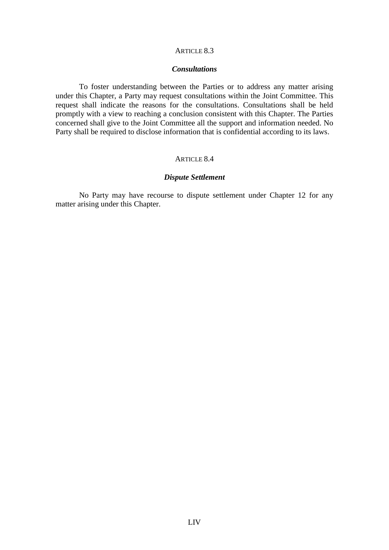#### ARTICLE 8.3

#### *Consultations*

To foster understanding between the Parties or to address any matter arising under this Chapter, a Party may request consultations within the Joint Committee. This request shall indicate the reasons for the consultations. Consultations shall be held promptly with a view to reaching a conclusion consistent with this Chapter. The Parties concerned shall give to the Joint Committee all the support and information needed. No Party shall be required to disclose information that is confidential according to its laws.

## ARTICLE 8.4

#### *Dispute Settlement*

No Party may have recourse to dispute settlement under Chapter 12 for any matter arising under this Chapter.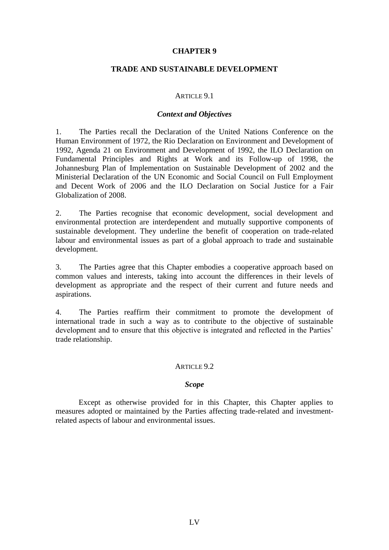#### **CHAPTER 9**

#### **TRADE AND SUSTAINABLE DEVELOPMENT**

#### ARTICLE 9.1

#### *Context and Objectives*

1. The Parties recall the Declaration of the United Nations Conference on the Human Environment of 1972, the Rio Declaration on Environment and Development of 1992, Agenda 21 on Environment and Development of 1992, the ILO Declaration on Fundamental Principles and Rights at Work and its Follow-up of 1998, the Johannesburg Plan of Implementation on Sustainable Development of 2002 and the Ministerial Declaration of the UN Economic and Social Council on Full Employment and Decent Work of 2006 and the ILO Declaration on Social Justice for a Fair Globalization of 2008.

2. The Parties recognise that economic development, social development and environmental protection are interdependent and mutually supportive components of sustainable development. They underline the benefit of cooperation on trade-related labour and environmental issues as part of a global approach to trade and sustainable development.

3. The Parties agree that this Chapter embodies a cooperative approach based on common values and interests, taking into account the differences in their levels of development as appropriate and the respect of their current and future needs and aspirations.

4. The Parties reaffirm their commitment to promote the development of international trade in such a way as to contribute to the objective of sustainable development and to ensure that this objective is integrated and reflected in the Parties' trade relationship.

#### ARTICLE 9.2

#### *Scope*

Except as otherwise provided for in this Chapter, this Chapter applies to measures adopted or maintained by the Parties affecting trade-related and investmentrelated aspects of labour and environmental issues.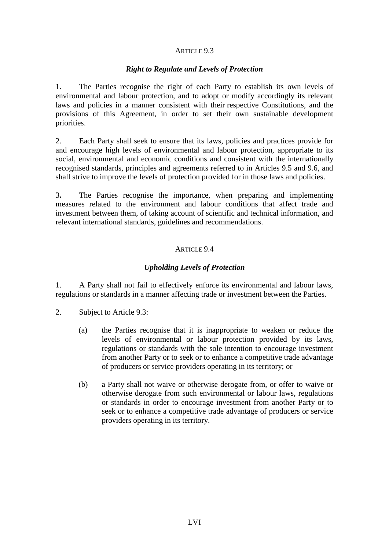## *Right to Regulate and Levels of Protection*

1. The Parties recognise the right of each Party to establish its own levels of environmental and labour protection, and to adopt or modify accordingly its relevant laws and policies in a manner consistent with their respective Constitutions, and the provisions of this Agreement, in order to set their own sustainable development priorities.

2. Each Party shall seek to ensure that its laws, policies and practices provide for and encourage high levels of environmental and labour protection, appropriate to its social, environmental and economic conditions and consistent with the internationally recognised standards, principles and agreements referred to in Articles 9.5 and 9.6, and shall strive to improve the levels of protection provided for in those laws and policies.

3**.** The Parties recognise the importance, when preparing and implementing measures related to the environment and labour conditions that affect trade and investment between them, of taking account of scientific and technical information, and relevant international standards, guidelines and recommendations.

## ARTICLE 9.4

# *Upholding Levels of Protection*

1. A Party shall not fail to effectively enforce its environmental and labour laws, regulations or standards in a manner affecting trade or investment between the Parties.

- 2. Subject to Article 9.3:
	- (a) the Parties recognise that it is inappropriate to weaken or reduce the levels of environmental or labour protection provided by its laws, regulations or standards with the sole intention to encourage investment from another Party or to seek or to enhance a competitive trade advantage of producers or service providers operating in its territory; or
	- (b) a Party shall not waive or otherwise derogate from, or offer to waive or otherwise derogate from such environmental or labour laws, regulations or standards in order to encourage investment from another Party or to seek or to enhance a competitive trade advantage of producers or service providers operating in its territory.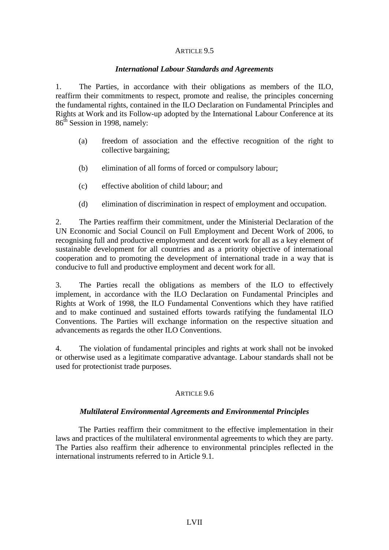### *International Labour Standards and Agreements*

1. The Parties, in accordance with their obligations as members of the ILO, reaffirm their commitments to respect, promote and realise, the principles concerning the fundamental rights, contained in the ILO Declaration on Fundamental Principles and Rights at Work and its Follow-up adopted by the International Labour Conference at its  $86<sup>th</sup>$  Session in 1998, namely:

- (a) freedom of association and the effective recognition of the right to collective bargaining;
- (b) elimination of all forms of forced or compulsory labour;
- (c) effective abolition of child labour; and
- (d) elimination of discrimination in respect of employment and occupation.

2. The Parties reaffirm their commitment, under the Ministerial Declaration of the UN Economic and Social Council on Full Employment and Decent Work of 2006, to recognising full and productive employment and decent work for all as a key element of sustainable development for all countries and as a priority objective of international cooperation and to promoting the development of international trade in a way that is conducive to full and productive employment and decent work for all.

3. The Parties recall the obligations as members of the ILO to effectively implement, in accordance with the ILO Declaration on Fundamental Principles and Rights at Work of 1998, the ILO Fundamental Conventions which they have ratified and to make continued and sustained efforts towards ratifying the fundamental ILO Conventions. The Parties will exchange information on the respective situation and advancements as regards the other ILO Conventions.

4. The violation of fundamental principles and rights at work shall not be invoked or otherwise used as a legitimate comparative advantage. Labour standards shall not be used for protectionist trade purposes.

# ARTICLE 9.6

# *Multilateral Environmental Agreements and Environmental Principles*

The Parties reaffirm their commitment to the effective implementation in their laws and practices of the multilateral environmental agreements to which they are party. The Parties also reaffirm their adherence to environmental principles reflected in the international instruments referred to in Article 9.1.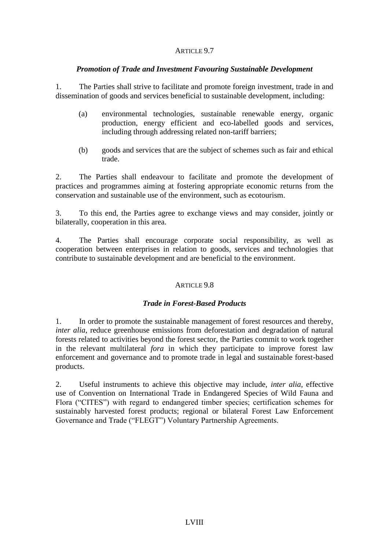## *Promotion of Trade and Investment Favouring Sustainable Development*

1. The Parties shall strive to facilitate and promote foreign investment, trade in and dissemination of goods and services beneficial to sustainable development, including:

- (a) environmental technologies, sustainable renewable energy, organic production, energy efficient and eco-labelled goods and services, including through addressing related non-tariff barriers;
- (b) goods and services that are the subject of schemes such as fair and ethical trade.

2. The Parties shall endeavour to facilitate and promote the development of practices and programmes aiming at fostering appropriate economic returns from the conservation and sustainable use of the environment, such as ecotourism.

3. To this end, the Parties agree to exchange views and may consider, jointly or bilaterally, cooperation in this area.

4. The Parties shall encourage corporate social responsibility, as well as cooperation between enterprises in relation to goods, services and technologies that contribute to sustainable development and are beneficial to the environment.

# ARTICLE 9.8

### *Trade in Forest-Based Products*

1. In order to promote the sustainable management of forest resources and thereby, *inter alia*, reduce greenhouse emissions from deforestation and degradation of natural forests related to activities beyond the forest sector, the Parties commit to work together in the relevant multilateral *fora* in which they participate to improve forest law enforcement and governance and to promote trade in legal and sustainable forest-based products.

2. Useful instruments to achieve this objective may include, *inter alia*, effective use of Convention on International Trade in Endangered Species of Wild Fauna and Flora ("CITES") with regard to endangered timber species; certification schemes for sustainably harvested forest products; regional or bilateral Forest Law Enforcement Governance and Trade ("FLEGT") Voluntary Partnership Agreements.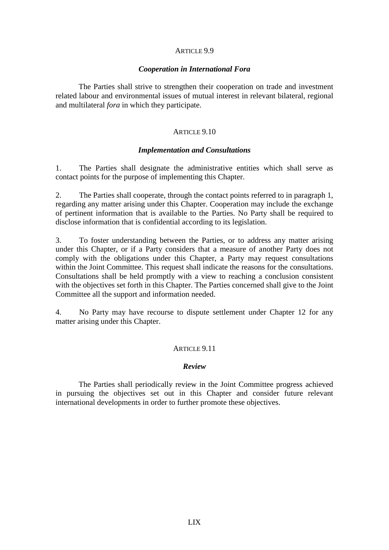#### *Cooperation in International Fora*

The Parties shall strive to strengthen their cooperation on trade and investment related labour and environmental issues of mutual interest in relevant bilateral, regional and multilateral *fora* in which they participate.

#### ARTICLE 9.10

#### *Implementation and Consultations*

1. The Parties shall designate the administrative entities which shall serve as contact points for the purpose of implementing this Chapter.

2. The Parties shall cooperate, through the contact points referred to in paragraph 1, regarding any matter arising under this Chapter. Cooperation may include the exchange of pertinent information that is available to the Parties. No Party shall be required to disclose information that is confidential according to its legislation.

3. To foster understanding between the Parties, or to address any matter arising under this Chapter, or if a Party considers that a measure of another Party does not comply with the obligations under this Chapter, a Party may request consultations within the Joint Committee. This request shall indicate the reasons for the consultations. Consultations shall be held promptly with a view to reaching a conclusion consistent with the objectives set forth in this Chapter. The Parties concerned shall give to the Joint Committee all the support and information needed.

4. No Party may have recourse to dispute settlement under Chapter 12 for any matter arising under this Chapter.

#### ARTICLE 9.11

#### *Review*

The Parties shall periodically review in the Joint Committee progress achieved in pursuing the objectives set out in this Chapter and consider future relevant international developments in order to further promote these objectives.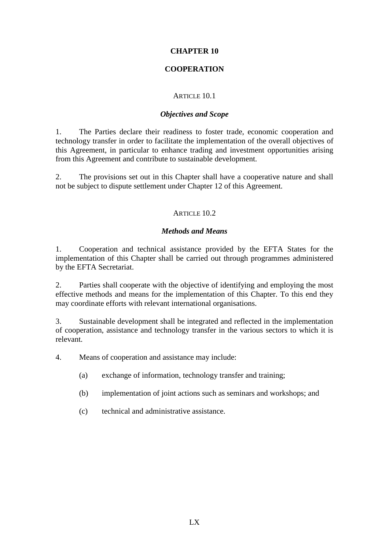## **CHAPTER 10**

# **COOPERATION**

### ARTICLE 10.1

### *Objectives and Scope*

1. The Parties declare their readiness to foster trade, economic cooperation and technology transfer in order to facilitate the implementation of the overall objectives of this Agreement, in particular to enhance trading and investment opportunities arising from this Agreement and contribute to sustainable development.

2. The provisions set out in this Chapter shall have a cooperative nature and shall not be subject to dispute settlement under Chapter 12 of this Agreement.

## ARTICLE 10.2

## *Methods and Means*

1. Cooperation and technical assistance provided by the EFTA States for the implementation of this Chapter shall be carried out through programmes administered by the EFTA Secretariat.

2. Parties shall cooperate with the objective of identifying and employing the most effective methods and means for the implementation of this Chapter. To this end they may coordinate efforts with relevant international organisations.

3. Sustainable development shall be integrated and reflected in the implementation of cooperation, assistance and technology transfer in the various sectors to which it is relevant.

4. Means of cooperation and assistance may include:

- (a) exchange of information, technology transfer and training;
- (b) implementation of joint actions such as seminars and workshops; and
- (c) technical and administrative assistance.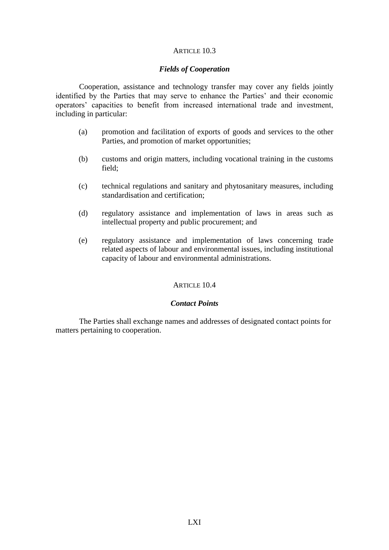#### ARTICLE 10.3

#### *Fields of Cooperation*

Cooperation, assistance and technology transfer may cover any fields jointly identified by the Parties that may serve to enhance the Parties' and their economic operators' capacities to benefit from increased international trade and investment, including in particular:

- (a) promotion and facilitation of exports of goods and services to the other Parties, and promotion of market opportunities;
- (b) customs and origin matters, including vocational training in the customs field;
- (c) technical regulations and sanitary and phytosanitary measures, including standardisation and certification;
- (d) regulatory assistance and implementation of laws in areas such as intellectual property and public procurement; and
- (e) regulatory assistance and implementation of laws concerning trade related aspects of labour and environmental issues, including institutional capacity of labour and environmental administrations.

#### ARTICLE 10.4

#### *Contact Points*

The Parties shall exchange names and addresses of designated contact points for matters pertaining to cooperation.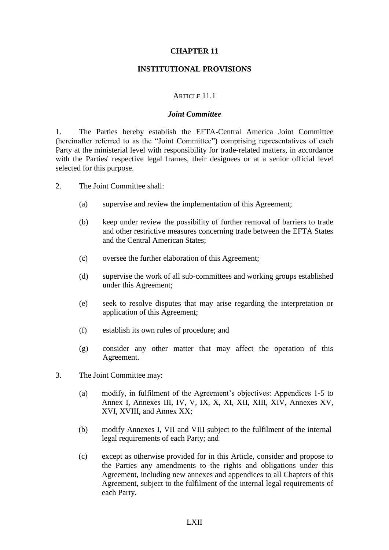#### **CHAPTER 11**

#### **INSTITUTIONAL PROVISIONS**

#### ARTICLE 11.1

#### *Joint Committee*

1. The Parties hereby establish the EFTA-Central America Joint Committee (hereinafter referred to as the "Joint Committee") comprising representatives of each Party at the ministerial level with responsibility for trade-related matters, in accordance with the Parties' respective legal frames, their designees or at a senior official level selected for this purpose.

- 2. The Joint Committee shall:
	- (a) supervise and review the implementation of this Agreement;
	- (b) keep under review the possibility of further removal of barriers to trade and other restrictive measures concerning trade between the EFTA States and the Central American States;
	- (c) oversee the further elaboration of this Agreement;
	- (d) supervise the work of all sub-committees and working groups established under this Agreement;
	- (e) seek to resolve disputes that may arise regarding the interpretation or application of this Agreement;
	- (f) establish its own rules of procedure; and
	- (g) consider any other matter that may affect the operation of this Agreement.
- 3. The Joint Committee may:
	- (a) modify, in fulfilment of the Agreement's objectives: Appendices 1-5 to Annex I, Annexes III, IV, V, IX, X, XI, XII, XIII, XIV, Annexes XV, XVI, XVIII, and Annex XX;
	- (b) modify Annexes I, VII and VIII subject to the fulfilment of the internal legal requirements of each Party; and
	- (c) except as otherwise provided for in this Article, consider and propose to the Parties any amendments to the rights and obligations under this Agreement, including new annexes and appendices to all Chapters of this Agreement, subject to the fulfilment of the internal legal requirements of each Party.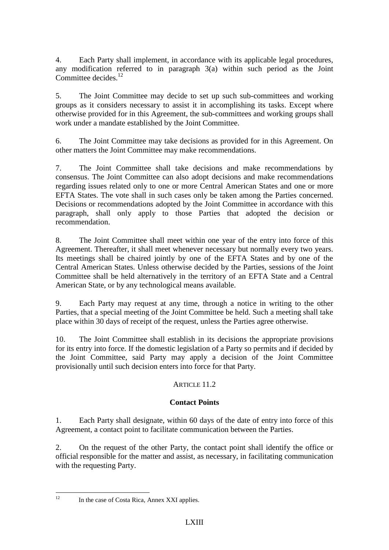4. Each Party shall implement, in accordance with its applicable legal procedures, any modification referred to in paragraph 3(a) within such period as the Joint Committee decides.<sup>12</sup>

5. The Joint Committee may decide to set up such sub-committees and working groups as it considers necessary to assist it in accomplishing its tasks. Except where otherwise provided for in this Agreement, the sub-committees and working groups shall work under a mandate established by the Joint Committee.

6. The Joint Committee may take decisions as provided for in this Agreement. On other matters the Joint Committee may make recommendations.

7. The Joint Committee shall take decisions and make recommendations by consensus. The Joint Committee can also adopt decisions and make recommendations regarding issues related only to one or more Central American States and one or more EFTA States. The vote shall in such cases only be taken among the Parties concerned. Decisions or recommendations adopted by the Joint Committee in accordance with this paragraph, shall only apply to those Parties that adopted the decision or recommendation.

8. The Joint Committee shall meet within one year of the entry into force of this Agreement. Thereafter, it shall meet whenever necessary but normally every two years. Its meetings shall be chaired jointly by one of the EFTA States and by one of the Central American States. Unless otherwise decided by the Parties, sessions of the Joint Committee shall be held alternatively in the territory of an EFTA State and a Central American State, or by any technological means available.

9. Each Party may request at any time, through a notice in writing to the other Parties, that a special meeting of the Joint Committee be held. Such a meeting shall take place within 30 days of receipt of the request, unless the Parties agree otherwise.

10. The Joint Committee shall establish in its decisions the appropriate provisions for its entry into force. If the domestic legislation of a Party so permits and if decided by the Joint Committee, said Party may apply a decision of the Joint Committee provisionally until such decision enters into force for that Party.

# ARTICLE 11.2

# **Contact Points**

1. Each Party shall designate, within 60 days of the date of entry into force of this Agreement, a contact point to facilitate communication between the Parties.

2. On the request of the other Party, the contact point shall identify the office or official responsible for the matter and assist, as necessary, in facilitating communication with the requesting Party.

 $12<sup>12</sup>$ 

In the case of Costa Rica, Annex XXI applies.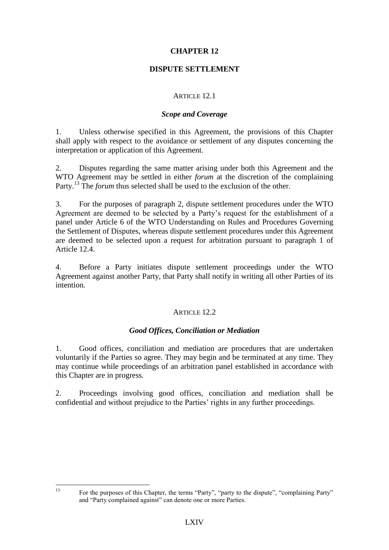# **CHAPTER 12**

# **DISPUTE SETTLEMENT**

## ARTICLE 12.1

## *Scope and Coverage*

1. Unless otherwise specified in this Agreement, the provisions of this Chapter shall apply with respect to the avoidance or settlement of any disputes concerning the interpretation or application of this Agreement.

2. Disputes regarding the same matter arising under both this Agreement and the WTO Agreement may be settled in either *forum* at the discretion of the complaining Party.<sup>13</sup> The *forum* thus selected shall be used to the exclusion of the other.

3. For the purposes of paragraph 2, dispute settlement procedures under the WTO Agreement are deemed to be selected by a Party's request for the establishment of a panel under Article 6 of the WTO Understanding on Rules and Procedures Governing the Settlement of Disputes, whereas dispute settlement procedures under this Agreement are deemed to be selected upon a request for arbitration pursuant to paragraph 1 of Article 12.4.

4. Before a Party initiates dispute settlement proceedings under the WTO Agreement against another Party, that Party shall notify in writing all other Parties of its intention.

### ARTICLE 12.2

# *Good Offices, Conciliation or Mediation*

1. Good offices, conciliation and mediation are procedures that are undertaken voluntarily if the Parties so agree. They may begin and be terminated at any time. They may continue while proceedings of an arbitration panel established in accordance with this Chapter are in progress.

2. Proceedings involving good offices, conciliation and mediation shall be confidential and without prejudice to the Parties' rights in any further proceedings.

 $13$ 

<sup>13</sup> For the purposes of this Chapter, the terms "Party", "party to the dispute", "complaining Party" and "Party complained against" can denote one or more Parties.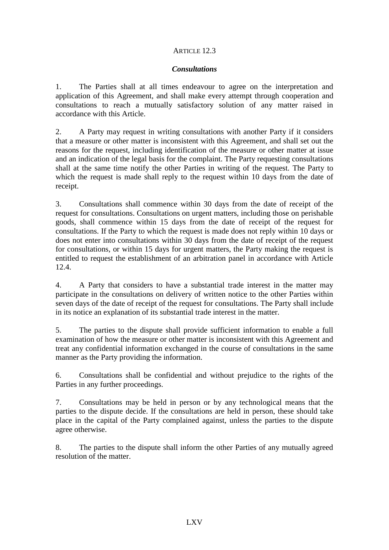## ARTICLE 12.3

### *Consultations*

1. The Parties shall at all times endeavour to agree on the interpretation and application of this Agreement, and shall make every attempt through cooperation and consultations to reach a mutually satisfactory solution of any matter raised in accordance with this Article.

2. A Party may request in writing consultations with another Party if it considers that a measure or other matter is inconsistent with this Agreement, and shall set out the reasons for the request, including identification of the measure or other matter at issue and an indication of the legal basis for the complaint. The Party requesting consultations shall at the same time notify the other Parties in writing of the request. The Party to which the request is made shall reply to the request within 10 days from the date of receipt.

3. Consultations shall commence within 30 days from the date of receipt of the request for consultations. Consultations on urgent matters, including those on perishable goods, shall commence within 15 days from the date of receipt of the request for consultations. If the Party to which the request is made does not reply within 10 days or does not enter into consultations within 30 days from the date of receipt of the request for consultations, or within 15 days for urgent matters, the Party making the request is entitled to request the establishment of an arbitration panel in accordance with Article 12.4.

4. A Party that considers to have a substantial trade interest in the matter may participate in the consultations on delivery of written notice to the other Parties within seven days of the date of receipt of the request for consultations. The Party shall include in its notice an explanation of its substantial trade interest in the matter.

5. The parties to the dispute shall provide sufficient information to enable a full examination of how the measure or other matter is inconsistent with this Agreement and treat any confidential information exchanged in the course of consultations in the same manner as the Party providing the information.

6. Consultations shall be confidential and without prejudice to the rights of the Parties in any further proceedings.

7. Consultations may be held in person or by any technological means that the parties to the dispute decide. If the consultations are held in person, these should take place in the capital of the Party complained against, unless the parties to the dispute agree otherwise.

8. The parties to the dispute shall inform the other Parties of any mutually agreed resolution of the matter.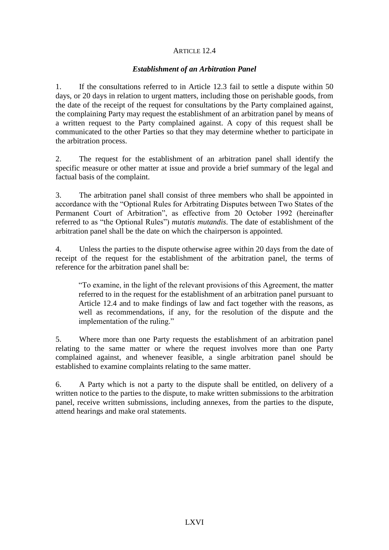# ARTICLE 12.4

## *Establishment of an Arbitration Panel*

1. If the consultations referred to in Article 12.3 fail to settle a dispute within 50 days, or 20 days in relation to urgent matters, including those on perishable goods, from the date of the receipt of the request for consultations by the Party complained against, the complaining Party may request the establishment of an arbitration panel by means of a written request to the Party complained against. A copy of this request shall be communicated to the other Parties so that they may determine whether to participate in the arbitration process.

2. The request for the establishment of an arbitration panel shall identify the specific measure or other matter at issue and provide a brief summary of the legal and factual basis of the complaint.

3. The arbitration panel shall consist of three members who shall be appointed in accordance with the "Optional Rules for Arbitrating Disputes between Two States of the Permanent Court of Arbitration", as effective from 20 October 1992 (hereinafter referred to as "the Optional Rules") *mutatis mutandis*. The date of establishment of the arbitration panel shall be the date on which the chairperson is appointed.

4. Unless the parties to the dispute otherwise agree within 20 days from the date of receipt of the request for the establishment of the arbitration panel, the terms of reference for the arbitration panel shall be:

"To examine, in the light of the relevant provisions of this Agreement, the matter referred to in the request for the establishment of an arbitration panel pursuant to Article 12.4 and to make findings of law and fact together with the reasons, as well as recommendations, if any, for the resolution of the dispute and the implementation of the ruling."

5. Where more than one Party requests the establishment of an arbitration panel relating to the same matter or where the request involves more than one Party complained against, and whenever feasible, a single arbitration panel should be established to examine complaints relating to the same matter.

6. A Party which is not a party to the dispute shall be entitled, on delivery of a written notice to the parties to the dispute, to make written submissions to the arbitration panel, receive written submissions, including annexes, from the parties to the dispute, attend hearings and make oral statements.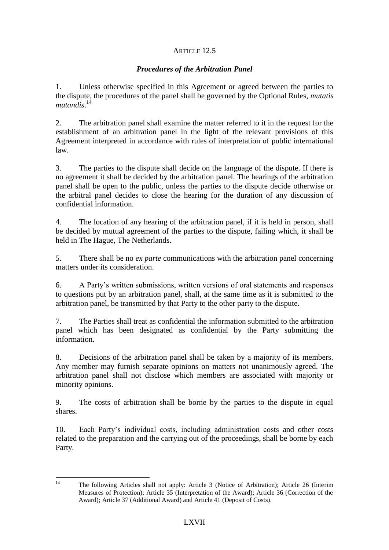# ARTICLE 12.5

# *Procedures of the Arbitration Panel*

1. Unless otherwise specified in this Agreement or agreed between the parties to the dispute, the procedures of the panel shall be governed by the Optional Rules, *mutatis mutandis*. 14

2. The arbitration panel shall examine the matter referred to it in the request for the establishment of an arbitration panel in the light of the relevant provisions of this Agreement interpreted in accordance with rules of interpretation of public international law.

3. The parties to the dispute shall decide on the language of the dispute. If there is no agreement it shall be decided by the arbitration panel. The hearings of the arbitration panel shall be open to the public, unless the parties to the dispute decide otherwise or the arbitral panel decides to close the hearing for the duration of any discussion of confidential information.

4. The location of any hearing of the arbitration panel, if it is held in person, shall be decided by mutual agreement of the parties to the dispute, failing which, it shall be held in The Hague, The Netherlands.

5. There shall be no *ex parte* communications with the arbitration panel concerning matters under its consideration.

6. A Party's written submissions, written versions of oral statements and responses to questions put by an arbitration panel, shall, at the same time as it is submitted to the arbitration panel, be transmitted by that Party to the other party to the dispute.

7. The Parties shall treat as confidential the information submitted to the arbitration panel which has been designated as confidential by the Party submitting the information.

8. Decisions of the arbitration panel shall be taken by a majority of its members. Any member may furnish separate opinions on matters not unanimously agreed. The arbitration panel shall not disclose which members are associated with majority or minority opinions.

9. The costs of arbitration shall be borne by the parties to the dispute in equal shares.

10. Each Party's individual costs, including administration costs and other costs related to the preparation and the carrying out of the proceedings, shall be borne by each Party.

 $14$ <sup>14</sup> The following Articles shall not apply: Article 3 (Notice of Arbitration); Article 26 (Interim Measures of Protection); Article 35 (Interpretation of the Award); Article 36 (Correction of the Award); Article 37 (Additional Award) and Article 41 (Deposit of Costs).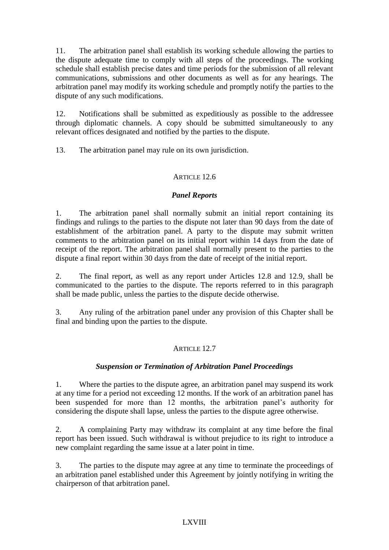11. The arbitration panel shall establish its working schedule allowing the parties to the dispute adequate time to comply with all steps of the proceedings. The working schedule shall establish precise dates and time periods for the submission of all relevant communications, submissions and other documents as well as for any hearings. The arbitration panel may modify its working schedule and promptly notify the parties to the dispute of any such modifications.

12. Notifications shall be submitted as expeditiously as possible to the addressee through diplomatic channels. A copy should be submitted simultaneously to any relevant offices designated and notified by the parties to the dispute.

13. The arbitration panel may rule on its own jurisdiction.

# ARTICLE 12.6

# *Panel Reports*

1. The arbitration panel shall normally submit an initial report containing its findings and rulings to the parties to the dispute not later than 90 days from the date of establishment of the arbitration panel. A party to the dispute may submit written comments to the arbitration panel on its initial report within 14 days from the date of receipt of the report. The arbitration panel shall normally present to the parties to the dispute a final report within 30 days from the date of receipt of the initial report.

2. The final report, as well as any report under Articles 12.8 and 12.9, shall be communicated to the parties to the dispute. The reports referred to in this paragraph shall be made public, unless the parties to the dispute decide otherwise.

3. Any ruling of the arbitration panel under any provision of this Chapter shall be final and binding upon the parties to the dispute.

# ARTICLE 12.7

# *Suspension or Termination of Arbitration Panel Proceedings*

1. Where the parties to the dispute agree, an arbitration panel may suspend its work at any time for a period not exceeding 12 months. If the work of an arbitration panel has been suspended for more than 12 months, the arbitration panel's authority for considering the dispute shall lapse, unless the parties to the dispute agree otherwise.

2. A complaining Party may withdraw its complaint at any time before the final report has been issued. Such withdrawal is without prejudice to its right to introduce a new complaint regarding the same issue at a later point in time.

3. The parties to the dispute may agree at any time to terminate the proceedings of an arbitration panel established under this Agreement by jointly notifying in writing the chairperson of that arbitration panel.

# LXVIII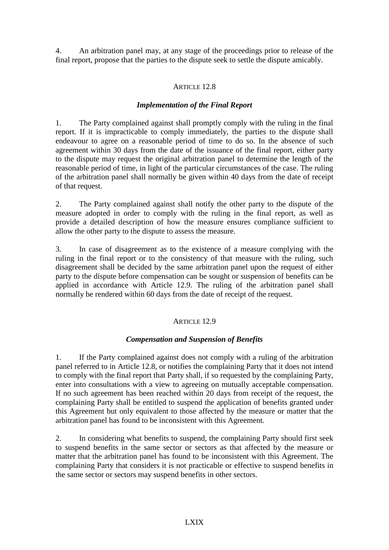4. An arbitration panel may, at any stage of the proceedings prior to release of the final report, propose that the parties to the dispute seek to settle the dispute amicably.

## ARTICLE 12.8

## *Implementation of the Final Report*

1. The Party complained against shall promptly comply with the ruling in the final report. If it is impracticable to comply immediately, the parties to the dispute shall endeavour to agree on a reasonable period of time to do so. In the absence of such agreement within 30 days from the date of the issuance of the final report, either party to the dispute may request the original arbitration panel to determine the length of the reasonable period of time, in light of the particular circumstances of the case. The ruling of the arbitration panel shall normally be given within 40 days from the date of receipt of that request.

2. The Party complained against shall notify the other party to the dispute of the measure adopted in order to comply with the ruling in the final report, as well as provide a detailed description of how the measure ensures compliance sufficient to allow the other party to the dispute to assess the measure.

3. In case of disagreement as to the existence of a measure complying with the ruling in the final report or to the consistency of that measure with the ruling, such disagreement shall be decided by the same arbitration panel upon the request of either party to the dispute before compensation can be sought or suspension of benefits can be applied in accordance with Article 12.9. The ruling of the arbitration panel shall normally be rendered within 60 days from the date of receipt of the request.

### ARTICLE  $12.9$

# *Compensation and Suspension of Benefits*

1. If the Party complained against does not comply with a ruling of the arbitration panel referred to in Article 12.8, or notifies the complaining Party that it does not intend to comply with the final report that Party shall, if so requested by the complaining Party, enter into consultations with a view to agreeing on mutually acceptable compensation. If no such agreement has been reached within 20 days from receipt of the request, the complaining Party shall be entitled to suspend the application of benefits granted under this Agreement but only equivalent to those affected by the measure or matter that the arbitration panel has found to be inconsistent with this Agreement.

2. In considering what benefits to suspend, the complaining Party should first seek to suspend benefits in the same sector or sectors as that affected by the measure or matter that the arbitration panel has found to be inconsistent with this Agreement. The complaining Party that considers it is not practicable or effective to suspend benefits in the same sector or sectors may suspend benefits in other sectors.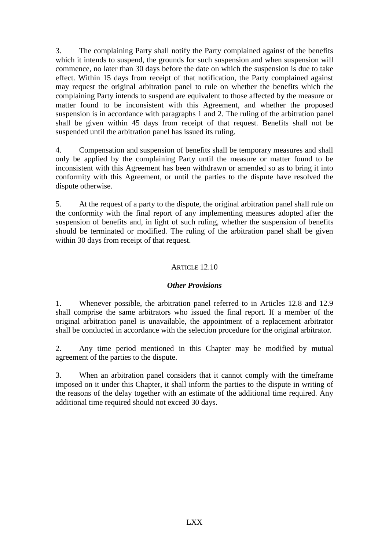3. The complaining Party shall notify the Party complained against of the benefits which it intends to suspend, the grounds for such suspension and when suspension will commence, no later than 30 days before the date on which the suspension is due to take effect. Within 15 days from receipt of that notification, the Party complained against may request the original arbitration panel to rule on whether the benefits which the complaining Party intends to suspend are equivalent to those affected by the measure or matter found to be inconsistent with this Agreement, and whether the proposed suspension is in accordance with paragraphs 1 and 2. The ruling of the arbitration panel shall be given within 45 days from receipt of that request. Benefits shall not be suspended until the arbitration panel has issued its ruling.

4. Compensation and suspension of benefits shall be temporary measures and shall only be applied by the complaining Party until the measure or matter found to be inconsistent with this Agreement has been withdrawn or amended so as to bring it into conformity with this Agreement, or until the parties to the dispute have resolved the dispute otherwise.

5. At the request of a party to the dispute, the original arbitration panel shall rule on the conformity with the final report of any implementing measures adopted after the suspension of benefits and, in light of such ruling, whether the suspension of benefits should be terminated or modified. The ruling of the arbitration panel shall be given within 30 days from receipt of that request.

# ARTICLE 12.10

# *Other Provisions*

1. Whenever possible, the arbitration panel referred to in Articles 12.8 and 12.9 shall comprise the same arbitrators who issued the final report. If a member of the original arbitration panel is unavailable, the appointment of a replacement arbitrator shall be conducted in accordance with the selection procedure for the original arbitrator.

2. Any time period mentioned in this Chapter may be modified by mutual agreement of the parties to the dispute.

3. When an arbitration panel considers that it cannot comply with the timeframe imposed on it under this Chapter, it shall inform the parties to the dispute in writing of the reasons of the delay together with an estimate of the additional time required. Any additional time required should not exceed 30 days.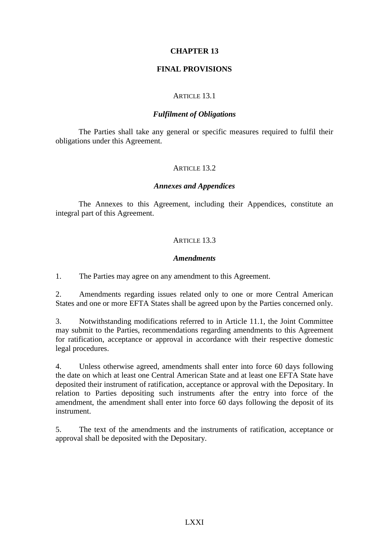### **CHAPTER 13**

#### **FINAL PROVISIONS**

#### ARTICLE 13.1

#### *Fulfilment of Obligations*

The Parties shall take any general or specific measures required to fulfil their obligations under this Agreement.

#### ARTICLE 13.2.

#### *Annexes and Appendices*

The Annexes to this Agreement, including their Appendices, constitute an integral part of this Agreement.

#### ARTICLE 13.3

#### *Amendments*

1. The Parties may agree on any amendment to this Agreement.

2. Amendments regarding issues related only to one or more Central American States and one or more EFTA States shall be agreed upon by the Parties concerned only.

3. Notwithstanding modifications referred to in Article 11.1, the Joint Committee may submit to the Parties, recommendations regarding amendments to this Agreement for ratification, acceptance or approval in accordance with their respective domestic legal procedures.

4. Unless otherwise agreed, amendments shall enter into force 60 days following the date on which at least one Central American State and at least one EFTA State have deposited their instrument of ratification, acceptance or approval with the Depositary. In relation to Parties depositing such instruments after the entry into force of the amendment, the amendment shall enter into force 60 days following the deposit of its instrument.

5. The text of the amendments and the instruments of ratification, acceptance or approval shall be deposited with the Depositary.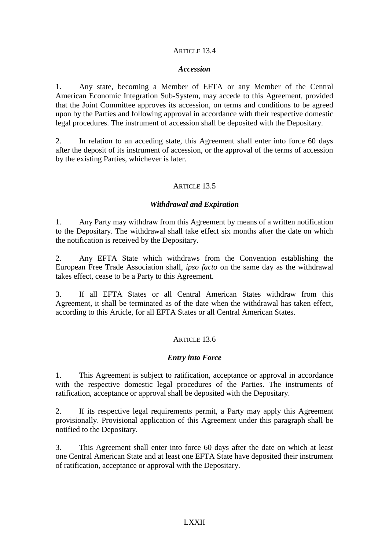### ARTICLE 13.4

#### *Accession*

1. Any state, becoming a Member of EFTA or any Member of the Central American Economic Integration Sub-System, may accede to this Agreement, provided that the Joint Committee approves its accession, on terms and conditions to be agreed upon by the Parties and following approval in accordance with their respective domestic legal procedures. The instrument of accession shall be deposited with the Depositary.

2. In relation to an acceding state, this Agreement shall enter into force 60 days after the deposit of its instrument of accession, or the approval of the terms of accession by the existing Parties, whichever is later.

#### ARTICLE 13.5

#### *Withdrawal and Expiration*

1. Any Party may withdraw from this Agreement by means of a written notification to the Depositary. The withdrawal shall take effect six months after the date on which the notification is received by the Depositary.

2. Any EFTA State which withdraws from the Convention establishing the European Free Trade Association shall, *ipso facto* on the same day as the withdrawal takes effect, cease to be a Party to this Agreement.

3. If all EFTA States or all Central American States withdraw from this Agreement, it shall be terminated as of the date when the withdrawal has taken effect, according to this Article, for all EFTA States or all Central American States.

### ARTICLE 13.6

### *Entry into Force*

1. This Agreement is subject to ratification, acceptance or approval in accordance with the respective domestic legal procedures of the Parties. The instruments of ratification, acceptance or approval shall be deposited with the Depositary.

2. If its respective legal requirements permit, a Party may apply this Agreement provisionally. Provisional application of this Agreement under this paragraph shall be notified to the Depositary.

3. This Agreement shall enter into force 60 days after the date on which at least one Central American State and at least one EFTA State have deposited their instrument of ratification, acceptance or approval with the Depositary.

#### LXXII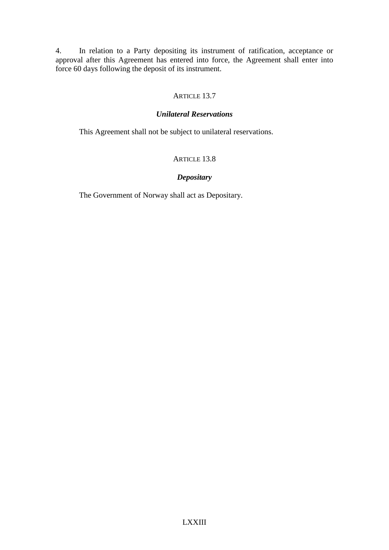4. In relation to a Party depositing its instrument of ratification, acceptance or approval after this Agreement has entered into force, the Agreement shall enter into force 60 days following the deposit of its instrument.

# ARTICLE 13.7

## *Unilateral Reservations*

This Agreement shall not be subject to unilateral reservations.

## ARTICLE 13.8

## *Depositary*

The Government of Norway shall act as Depositary.